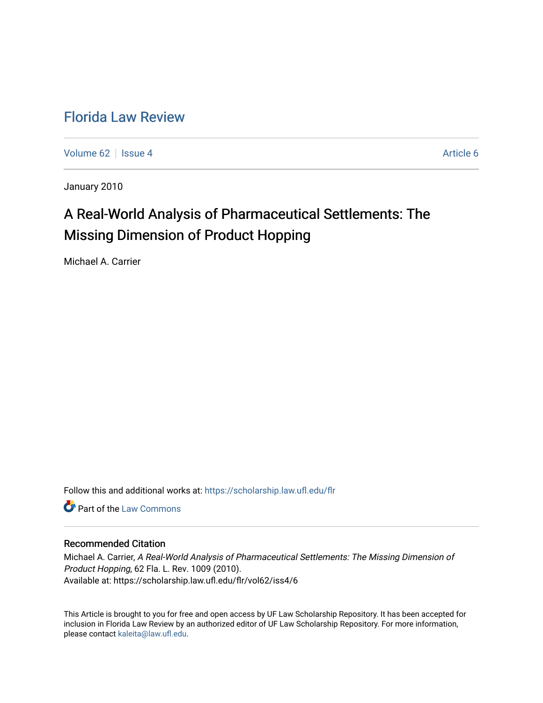# [Florida Law Review](https://scholarship.law.ufl.edu/flr)

[Volume 62](https://scholarship.law.ufl.edu/flr/vol62) | [Issue 4](https://scholarship.law.ufl.edu/flr/vol62/iss4) Article 6

January 2010

# A Real-World Analysis of Pharmaceutical Settlements: The Missing Dimension of Product Hopping

Michael A. Carrier

Follow this and additional works at: [https://scholarship.law.ufl.edu/flr](https://scholarship.law.ufl.edu/flr?utm_source=scholarship.law.ufl.edu%2Fflr%2Fvol62%2Fiss4%2F6&utm_medium=PDF&utm_campaign=PDFCoverPages)

**C** Part of the [Law Commons](http://network.bepress.com/hgg/discipline/578?utm_source=scholarship.law.ufl.edu%2Fflr%2Fvol62%2Fiss4%2F6&utm_medium=PDF&utm_campaign=PDFCoverPages)

### Recommended Citation

Michael A. Carrier, A Real-World Analysis of Pharmaceutical Settlements: The Missing Dimension of Product Hopping, 62 Fla. L. Rev. 1009 (2010). Available at: https://scholarship.law.ufl.edu/flr/vol62/iss4/6

This Article is brought to you for free and open access by UF Law Scholarship Repository. It has been accepted for inclusion in Florida Law Review by an authorized editor of UF Law Scholarship Repository. For more information, please contact [kaleita@law.ufl.edu](mailto:kaleita@law.ufl.edu).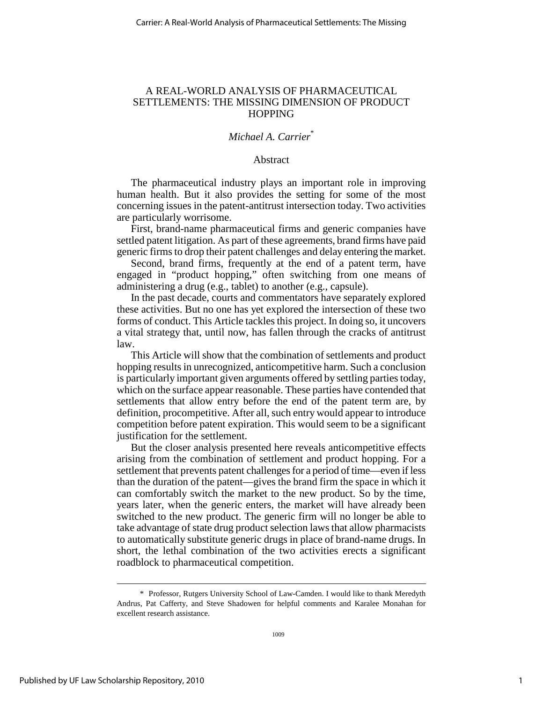### A REAL-WORLD ANALYSIS OF PHARMACEUTICAL SETTLEMENTS: THE MISSING DIMENSION OF PRODUCT **HOPPING**

### *Michael A. Carrier*\*

### Abstract

The pharmaceutical industry plays an important role in improving human health. But it also provides the setting for some of the most concerning issues in the patent-antitrust intersection today. Two activities are particularly worrisome.

First, brand-name pharmaceutical firms and generic companies have settled patent litigation. As part of these agreements, brand firms have paid generic firms to drop their patent challenges and delay entering the market.

Second, brand firms, frequently at the end of a patent term, have engaged in "product hopping," often switching from one means of administering a drug (e.g., tablet) to another (e.g., capsule).

In the past decade, courts and commentators have separately explored these activities. But no one has yet explored the intersection of these two forms of conduct. This Article tackles this project. In doing so, it uncovers a vital strategy that, until now, has fallen through the cracks of antitrust law.

This Article will show that the combination of settlements and product hopping results in unrecognized, anticompetitive harm. Such a conclusion is particularly important given arguments offered by settling parties today, which on the surface appear reasonable. These parties have contended that settlements that allow entry before the end of the patent term are, by definition, procompetitive. After all, such entry would appear to introduce competition before patent expiration. This would seem to be a significant justification for the settlement.

But the closer analysis presented here reveals anticompetitive effects arising from the combination of settlement and product hopping. For a settlement that prevents patent challenges for a period of time—even if less than the duration of the patent—gives the brand firm the space in which it can comfortably switch the market to the new product. So by the time, years later, when the generic enters, the market will have already been switched to the new product. The generic firm will no longer be able to take advantage of state drug product selection laws that allow pharmacists to automatically substitute generic drugs in place of brand-name drugs. In short, the lethal combination of the two activities erects a significant roadblock to pharmaceutical competition.

 <sup>\*</sup> Professor, Rutgers University School of Law-Camden. I would like to thank Meredyth Andrus, Pat Cafferty, and Steve Shadowen for helpful comments and Karalee Monahan for excellent research assistance.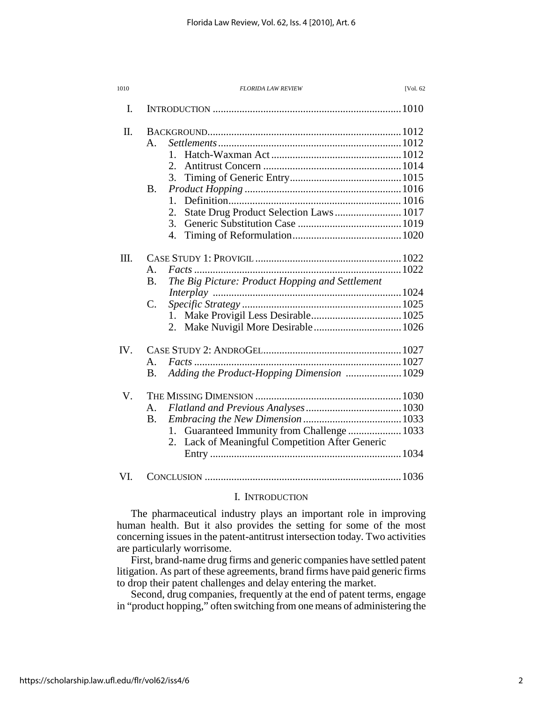| 1010 | [Vol. 62<br><b>FLORIDA LAW REVIEW</b>                                                                                               |
|------|-------------------------------------------------------------------------------------------------------------------------------------|
| I.   |                                                                                                                                     |
| Π.   | $\mathsf{A}$ .<br>$1_{-}$<br>2.<br>3.<br>Β.<br>1.<br>State Drug Product Selection Laws 1017<br>2.<br>3.<br>4.                       |
| III. | $\mathbf{A}$ .<br>The Big Picture: Product Hopping and Settlement<br><b>B.</b><br>$\mathbf{C}$ .<br>$1_{-}$                         |
| IV.  | A.<br>Adding the Product-Hopping Dimension  1029<br><b>B.</b>                                                                       |
| V.   | A <sub>1</sub><br><b>B.</b><br>Guaranteed Immunity from Challenge  1033<br>1.<br>Lack of Meaningful Competition After Generic<br>2. |
| VI.  |                                                                                                                                     |

### I. INTRODUCTION

The pharmaceutical industry plays an important role in improving human health. But it also provides the setting for some of the most concerning issues in the patent-antitrust intersection today. Two activities are particularly worrisome.

First, brand-name drug firms and generic companies have settled patent litigation. As part of these agreements, brand firms have paid generic firms to drop their patent challenges and delay entering the market.

Second, drug companies, frequently at the end of patent terms, engage in "product hopping," often switching from one means of administering the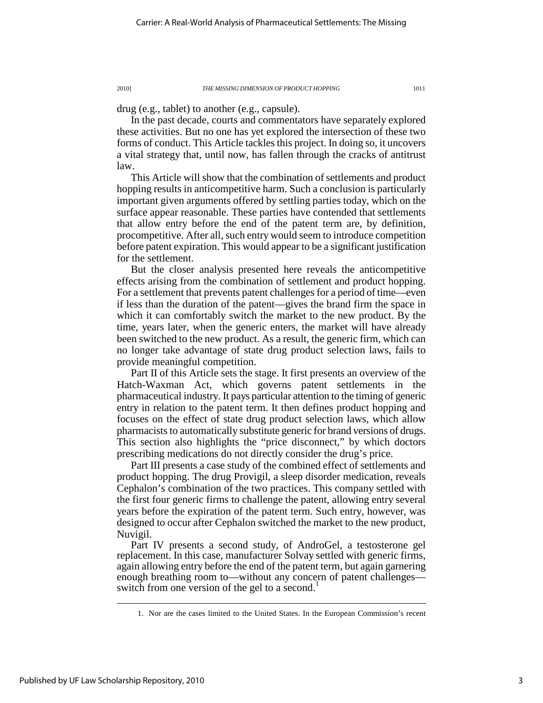drug (e.g., tablet) to another (e.g., capsule).

In the past decade, courts and commentators have separately explored these activities. But no one has yet explored the intersection of these two forms of conduct. This Article tackles this project. In doing so, it uncovers a vital strategy that, until now, has fallen through the cracks of antitrust law.

This Article will show that the combination of settlements and product hopping results in anticompetitive harm. Such a conclusion is particularly important given arguments offered by settling parties today, which on the surface appear reasonable. These parties have contended that settlements that allow entry before the end of the patent term are, by definition, procompetitive. After all, such entry would seem to introduce competition before patent expiration. This would appear to be a significant justification for the settlement.

But the closer analysis presented here reveals the anticompetitive effects arising from the combination of settlement and product hopping. For a settlement that prevents patent challenges for a period of time—even if less than the duration of the patent—gives the brand firm the space in which it can comfortably switch the market to the new product. By the time, years later, when the generic enters, the market will have already been switched to the new product. As a result, the generic firm, which can no longer take advantage of state drug product selection laws, fails to provide meaningful competition.

Part II of this Article sets the stage. It first presents an overview of the Hatch-Waxman Act, which governs patent settlements in the pharmaceutical industry. It pays particular attention to the timing of generic entry in relation to the patent term. It then defines product hopping and focuses on the effect of state drug product selection laws, which allow pharmacists to automatically substitute generic for brand versions of drugs. This section also highlights the "price disconnect," by which doctors prescribing medications do not directly consider the drug's price.

Part III presents a case study of the combined effect of settlements and product hopping. The drug Provigil, a sleep disorder medication, reveals Cephalon's combination of the two practices. This company settled with the first four generic firms to challenge the patent, allowing entry several years before the expiration of the patent term. Such entry, however, was designed to occur after Cephalon switched the market to the new product, Nuvigil.

Part IV presents a second study, of AndroGel, a testosterone gel replacement. In this case, manufacturer Solvay settled with generic firms, again allowing entry before the end of the patent term, but again garnering enough breathing room to—without any concern of patent challenges switch from one version of the gel to a second.

 <sup>1.</sup> Nor are the cases limited to the United States. In the European Commission's recent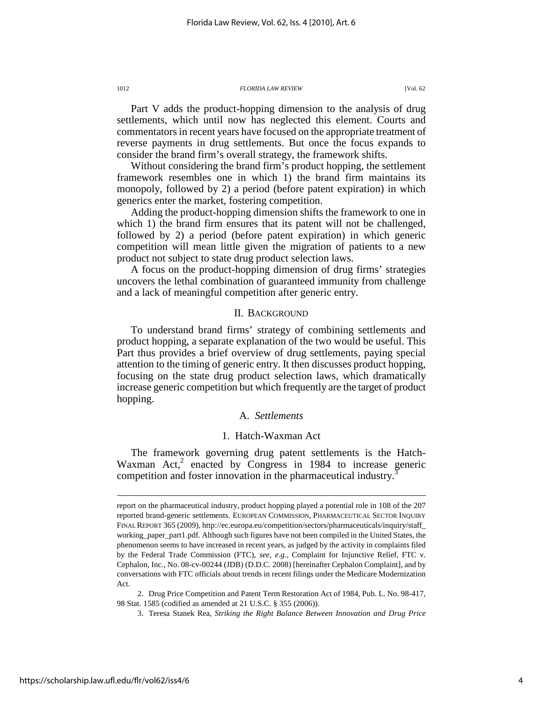Part V adds the product-hopping dimension to the analysis of drug settlements, which until now has neglected this element. Courts and commentators in recent years have focused on the appropriate treatment of reverse payments in drug settlements. But once the focus expands to consider the brand firm's overall strategy, the framework shifts.

Without considering the brand firm's product hopping, the settlement framework resembles one in which 1) the brand firm maintains its monopoly, followed by 2) a period (before patent expiration) in which generics enter the market, fostering competition.

Adding the product-hopping dimension shifts the framework to one in which 1) the brand firm ensures that its patent will not be challenged, followed by 2) a period (before patent expiration) in which generic competition will mean little given the migration of patients to a new product not subject to state drug product selection laws.

A focus on the product-hopping dimension of drug firms' strategies uncovers the lethal combination of guaranteed immunity from challenge and a lack of meaningful competition after generic entry.

### II. BACKGROUND

To understand brand firms' strategy of combining settlements and product hopping, a separate explanation of the two would be useful. This Part thus provides a brief overview of drug settlements, paying special attention to the timing of generic entry. It then discusses product hopping, focusing on the state drug product selection laws, which dramatically increase generic competition but which frequently are the target of product hopping.

### A. *Settlements*

### 1. Hatch-Waxman Act

The framework governing drug patent settlements is the Hatch-Waxman Act, $2$  enacted by Congress in 1984 to increase generic competition and foster innovation in the pharmaceutical industry.<sup>3</sup>

report on the pharmaceutical industry, product hopping played a potential role in 108 of the 207 reported brand-generic settlements. EUROPEAN COMMISSION, PHARMACEUTICAL SECTOR INQUIRY FINAL REPORT 365 (2009), http://ec.europa.eu/competition/sectors/pharmaceuticals/inquiry/staff\_ working\_paper\_part1.pdf. Although such figures have not been compiled in the United States, the phenomenon seems to have increased in recent years, as judged by the activity in complaints filed by the Federal Trade Commission (FTC), *see, e.g.*, Complaint for Injunctive Relief, FTC v. Cephalon, Inc., No. 08-cv-00244 (JDB) (D.D.C. 2008) [hereinafter Cephalon Complaint], and by conversations with FTC officials about trends in recent filings under the Medicare Modernization Act.

 <sup>2.</sup> Drug Price Competition and Patent Term Restoration Act of 1984, Pub. L. No. 98-417, 98 Stat. 1585 (codified as amended at 21 U.S.C. § 355 (2006)).

 <sup>3.</sup> Teresa Stanek Rea, *Striking the Right Balance Between Innovation and Drug Price*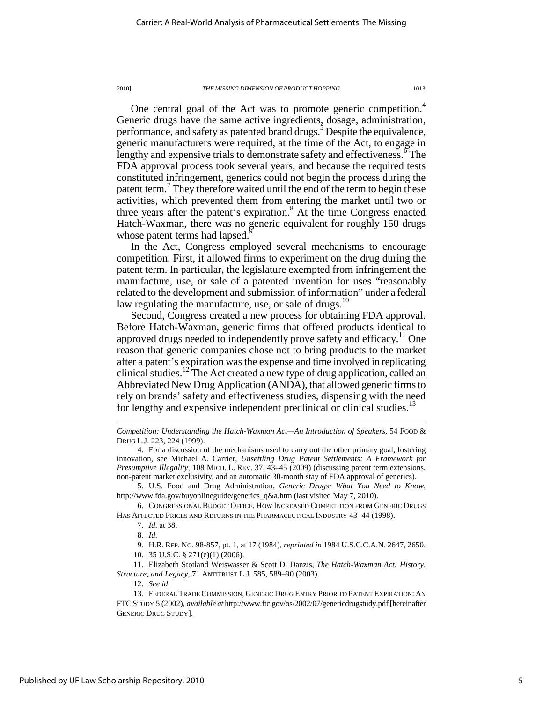One central goal of the Act was to promote generic competition.<sup>4</sup> Generic drugs have the same active ingredients, dosage, administration, performance, and safety as patented brand drugs.<sup>5</sup> Despite the equivalence, generic manufacturers were required, at the time of the Act, to engage in lengthy and expensive trials to demonstrate safety and effectiveness. The FDA approval process took several years, and because the required tests constituted infringement, generics could not begin the process during the patent term.<sup>7</sup> They therefore waited until the end of the term to begin these activities, which prevented them from entering the market until two or three years after the patent's expiration.<sup>8</sup> At the time Congress enacted Hatch-Waxman, there was no generic equivalent for roughly 150 drugs whose patent terms had lapsed.<sup>5</sup>

In the Act, Congress employed several mechanisms to encourage competition. First, it allowed firms to experiment on the drug during the patent term. In particular, the legislature exempted from infringement the manufacture, use, or sale of a patented invention for uses "reasonably related to the development and submission of information" under a federal law regulating the manufacture, use, or sale of drugs. $10$ 

Second, Congress created a new process for obtaining FDA approval. Before Hatch-Waxman, generic firms that offered products identical to approved drugs needed to independently prove safety and efficacy.<sup>11</sup> One reason that generic companies chose not to bring products to the market after a patent's expiration was the expense and time involved in replicating clinical studies.<sup>12</sup> The Act created a new type of drug application, called an Abbreviated New Drug Application (ANDA), that allowed generic firms to rely on brands' safety and effectiveness studies, dispensing with the need for lengthy and expensive independent preclinical or clinical studies.<sup>13</sup>

 5. U.S. Food and Drug Administration, *Generic Drugs: What You Need to Know*, http://www.fda.gov/buyonlineguide/generics\_q&a.htm (last visited May 7, 2010).

 6. CONGRESSIONAL BUDGET OFFICE, HOW INCREASED COMPETITION FROM GENERIC DRUGS HAS AFFECTED PRICES AND RETURNS IN THE PHARMACEUTICAL INDUSTRY 43–44 (1998).

 $\overline{a}$ 

9. H.R. REP. NO. 98-857, pt. 1, at 17 (1984), *reprinted in* 1984 U.S.C.C.A.N. 2647, 2650.

10. 35 U.S.C. § 271(e)(1) (2006).

 11. Elizabeth Stotland Weiswasser & Scott D. Danzis, *The Hatch-Waxman Act: History, Structure, and Legacy*, 71 ANTITRUST L.J*.* 585, 589–90 (2003).

12. *See id.*

*Competition: Understanding the Hatch-Waxman Act—An Introduction of Speakers*, 54 FOOD & DRUG L.J. 223, 224 (1999).

 <sup>4.</sup> For a discussion of the mechanisms used to carry out the other primary goal, fostering innovation, see Michael A. Carrier, *Unsettling Drug Patent Settlements: A Framework for Presumptive Illegality*, 108 MICH. L. REV. 37, 43–45 (2009) (discussing patent term extensions, non-patent market exclusivity, and an automatic 30-month stay of FDA approval of generics).

 <sup>7.</sup> *Id.* at 38.

 <sup>8.</sup> *Id.* 

 <sup>13.</sup> FEDERAL TRADE COMMISSION, GENERIC DRUG ENTRY PRIOR TO PATENT EXPIRATION: AN FTCSTUDY 5 (2002), *available at* http://www.ftc.gov/os/2002/07/genericdrugstudy.pdf [hereinafter GENERIC DRUG STUDY].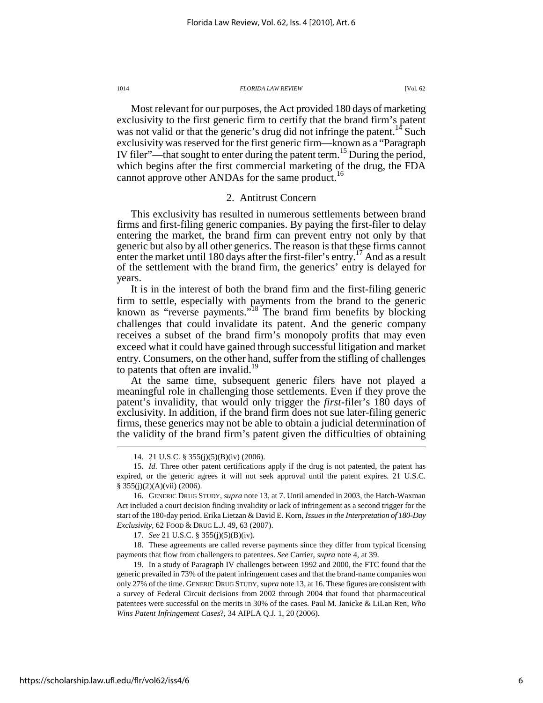Most relevant for our purposes, the Act provided 180 days of marketing exclusivity to the first generic firm to certify that the brand firm's patent was not valid or that the generic's drug did not infringe the patent.<sup>14</sup> Such exclusivity was reserved for the first generic firm—known as a "Paragraph IV filer"—that sought to enter during the patent term.<sup>15</sup> During the period, which begins after the first commercial marketing of the drug, the FDA cannot approve other ANDAs for the same product.<sup>16</sup>

#### 2. Antitrust Concern

This exclusivity has resulted in numerous settlements between brand firms and first-filing generic companies. By paying the first-filer to delay entering the market, the brand firm can prevent entry not only by that generic but also by all other generics. The reason is that these firms cannot enter the market until 180 days after the first-filer's entry.<sup>17</sup> And as a result of the settlement with the brand firm, the generics' entry is delayed for years.

It is in the interest of both the brand firm and the first-filing generic firm to settle, especially with payments from the brand to the generic known as "reverse payments."<sup>18</sup> The brand firm benefits by blocking challenges that could invalidate its patent. And the generic company receives a subset of the brand firm's monopoly profits that may even exceed what it could have gained through successful litigation and market entry. Consumers, on the other hand, suffer from the stifling of challenges to patents that often are invalid.<sup>19</sup>

At the same time, subsequent generic filers have not played a meaningful role in challenging those settlements. Even if they prove the patent's invalidity, that would only trigger the *first*-filer's 180 days of exclusivity. In addition, if the brand firm does not sue later-filing generic firms, these generics may not be able to obtain a judicial determination of the validity of the brand firm's patent given the difficulties of obtaining

17. *See* 21 U.S.C. § 355(j)(5)(B)(iv).

 18. These agreements are called reverse payments since they differ from typical licensing payments that flow from challengers to patentees. *See* Carrier, *supra* note 4, at 39.

 19. In a study of Paragraph IV challenges between 1992 and 2000, the FTC found that the generic prevailed in 73% of the patent infringement cases and that the brand-name companies won only 27% of the time. GENERIC DRUG STUDY, *supra* note 13, at 16. These figures are consistent with a survey of Federal Circuit decisions from 2002 through 2004 that found that pharmaceutical patentees were successful on the merits in 30% of the cases. Paul M. Janicke & LiLan Ren, *Who Wins Patent Infringement Cases*?, 34 AIPLA Q.J*.* 1, 20 (2006).

 <sup>14. 21</sup> U.S.C. § 355(j)(5)(B)(iv) (2006).

 <sup>15.</sup> *Id.* Three other patent certifications apply if the drug is not patented, the patent has expired, or the generic agrees it will not seek approval until the patent expires. 21 U.S.C. § 355(j)(2)(A)(vii) (2006).

 <sup>16.</sup> GENERIC DRUG STUDY, *supra* note 13, at 7. Until amended in 2003, the Hatch-Waxman Act included a court decision finding invalidity or lack of infringement as a second trigger for the start of the 180-day period. Erika Lietzan & David E. Korn, *Issues in the Interpretation of 180-Day Exclusivity*, 62 FOOD & DRUG L.J. 49, 63 (2007).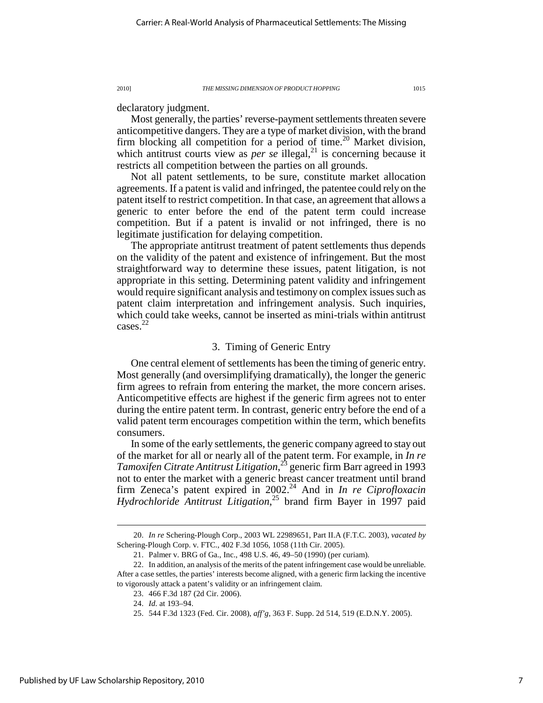declaratory judgment.

Most generally, the parties' reverse-payment settlements threaten severe anticompetitive dangers. They are a type of market division, with the brand firm blocking all competition for a period of time.<sup>20</sup> Market division, which antitrust courts view as *per se* illegal,<sup>21</sup> is concerning because it restricts all competition between the parties on all grounds.

Not all patent settlements, to be sure, constitute market allocation agreements. If a patent is valid and infringed, the patentee could rely on the patent itself to restrict competition. In that case, an agreement that allows a generic to enter before the end of the patent term could increase competition. But if a patent is invalid or not infringed, there is no legitimate justification for delaying competition.

The appropriate antitrust treatment of patent settlements thus depends on the validity of the patent and existence of infringement. But the most straightforward way to determine these issues, patent litigation, is not appropriate in this setting. Determining patent validity and infringement would require significant analysis and testimony on complex issues such as patent claim interpretation and infringement analysis. Such inquiries, which could take weeks, cannot be inserted as mini-trials within antitrust cases. 22

### 3. Timing of Generic Entry

One central element of settlements has been the timing of generic entry. Most generally (and oversimplifying dramatically), the longer the generic firm agrees to refrain from entering the market, the more concern arises. Anticompetitive effects are highest if the generic firm agrees not to enter during the entire patent term. In contrast, generic entry before the end of a valid patent term encourages competition within the term, which benefits consumers.

In some of the early settlements, the generic company agreed to stay out of the market for all or nearly all of the patent term. For example, in *In re Tamoxifen Citrate Antitrust Litigation*, <sup>23</sup> generic firm Barr agreed in 1993 not to enter the market with a generic breast cancer treatment until brand firm Zeneca's patent expired in 2002.<sup>24</sup> And in *In re Ciprofloxacin Hydrochloride Antitrust Litigation*, <sup>25</sup> brand firm Bayer in 1997 paid

 <sup>20.</sup> *In re* Schering-Plough Corp., 2003 WL 22989651, Part II.A (F.T.C. 2003), *vacated by* Schering-Plough Corp. v. FTC., 402 F.3d 1056, 1058 (11th Cir. 2005).

 <sup>21.</sup> Palmer v. BRG of Ga., Inc., 498 U.S. 46, 49–50 (1990) (per curiam).

 <sup>22.</sup> In addition, an analysis of the merits of the patent infringement case would be unreliable. After a case settles, the parties' interests become aligned, with a generic firm lacking the incentive to vigorously attack a patent's validity or an infringement claim.

 <sup>23. 466</sup> F.3d 187 (2d Cir. 2006).

 <sup>24.</sup> *Id.* at 193–94.

 <sup>25. 544</sup> F.3d 1323 (Fed. Cir. 2008), *aff'g*, 363 F. Supp. 2d 514, 519 (E.D.N.Y. 2005).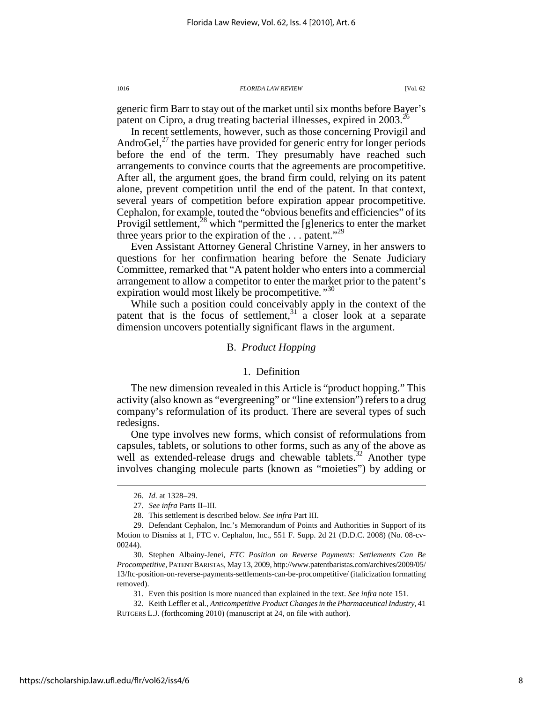generic firm Barr to stay out of the market until six months before Bayer's patent on Cipro, a drug treating bacterial illnesses, expired in 2003.<sup>26</sup>

In recent settlements, however, such as those concerning Provigil and AndroGel, $^{27}$  the parties have provided for generic entry for longer periods before the end of the term. They presumably have reached such arrangements to convince courts that the agreements are procompetitive. After all, the argument goes, the brand firm could, relying on its patent alone, prevent competition until the end of the patent. In that context, several years of competition before expiration appear procompetitive. Cephalon, for example, touted the "obvious benefits and efficiencies" of its Provigil settlement,<sup>28</sup> which "permitted the [g]enerics to enter the market three years prior to the expiration of the  $\dots$  patent."<sup>29</sup>

Even Assistant Attorney General Christine Varney, in her answers to questions for her confirmation hearing before the Senate Judiciary Committee, remarked that "A patent holder who enters into a commercial arrangement to allow a competitor to enter the market prior to the patent's expiration would most likely be procompetitive*."*<sup>30</sup>

While such a position could conceivably apply in the context of the patent that is the focus of settlement, $31$  a closer look at a separate dimension uncovers potentially significant flaws in the argument.

### B. *Product Hopping*

### 1. Definition

The new dimension revealed in this Article is "product hopping." This activity (also known as "evergreening" or "line extension") refers to a drug company's reformulation of its product. There are several types of such redesigns.

One type involves new forms, which consist of reformulations from capsules, tablets, or solutions to other forms, such as any of the above as well as extended-release drugs and chewable tablets.<sup>32</sup> Another type involves changing molecule parts (known as "moieties") by adding or

 $\overline{a}$ 

31. Even this position is more nuanced than explained in the text. *See infra* note 151.

 <sup>26.</sup> *Id.* at 1328–29.

 <sup>27.</sup> *See infra* Parts II–III.

 <sup>28.</sup> This settlement is described below. *See infra* Part III.

 <sup>29.</sup> Defendant Cephalon, Inc.'s Memorandum of Points and Authorities in Support of its Motion to Dismiss at 1, FTC v. Cephalon, Inc., 551 F. Supp. 2d 21 (D.D.C. 2008) (No. 08-cv-00244).

 <sup>30.</sup> Stephen Albainy-Jenei, *FTC Position on Reverse Payments: Settlements Can Be Procompetitive*, PATENT BARISTAS, May 13, 2009, http://www.patentbaristas.com/archives/2009/05/ 13/ftc-position-on-reverse-payments-settlements-can-be-procompetitive/ (italicization formatting removed).

 <sup>32.</sup> Keith Leffler et al., *Anticompetitive Product Changes in the Pharmaceutical Industry*, 41 RUTGERS L.J. (forthcoming 2010) (manuscript at 24, on file with author).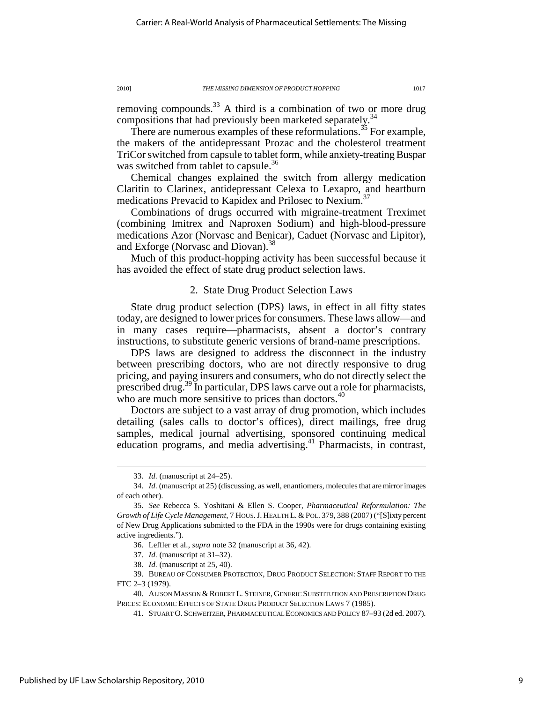removing compounds.<sup>33</sup> A third is a combination of two or more drug compositions that had previously been marketed separately.<sup>34</sup>

There are numerous examples of these reformulations.<sup>35</sup> For example, the makers of the antidepressant Prozac and the cholesterol treatment TriCor switched from capsule to tablet form, while anxiety-treating Buspar was switched from tablet to capsule.<sup>36</sup>

Chemical changes explained the switch from allergy medication Claritin to Clarinex, antidepressant Celexa to Lexapro, and heartburn medications Prevacid to Kapidex and Prilosec to Nexium.<sup>37</sup>

Combinations of drugs occurred with migraine-treatment Treximet (combining Imitrex and Naproxen Sodium) and high-blood-pressure medications Azor (Norvasc and Benicar), Caduet (Norvasc and Lipitor), and Exforge (Norvasc and Diovan).<sup>38</sup>

Much of this product-hopping activity has been successful because it has avoided the effect of state drug product selection laws.

### 2. State Drug Product Selection Laws

State drug product selection (DPS) laws, in effect in all fifty states today, are designed to lower prices for consumers. These laws allow—and in many cases require—pharmacists, absent a doctor's contrary instructions, to substitute generic versions of brand-name prescriptions.

DPS laws are designed to address the disconnect in the industry between prescribing doctors, who are not directly responsive to drug pricing, and paying insurers and consumers, who do not directly select the prescribed drug.<sup>39</sup> In particular, DPS laws carve out a role for pharmacists, who are much more sensitive to prices than doctors.<sup>40</sup>

Doctors are subject to a vast array of drug promotion, which includes detailing (sales calls to doctor's offices), direct mailings, free drug samples, medical journal advertising, sponsored continuing medical education programs, and media advertising.<sup>41</sup> Pharmacists, in contrast,

 <sup>33.</sup> *Id.* (manuscript at 24–25).

 <sup>34.</sup> *Id.* (manuscript at 25) (discussing, as well, enantiomers, molecules that are mirror images of each other).

 <sup>35.</sup> *See* Rebecca S. Yoshitani & Ellen S. Cooper, *Pharmaceutical Reformulation: The Growth of Life Cycle Management*, 7 HOUS.J. HEALTH L. & POL. 379, 388 (2007) ("[S]ixty percent of New Drug Applications submitted to the FDA in the 1990s were for drugs containing existing active ingredients.").

 <sup>36.</sup> Leffler et al., *supra* note 32 (manuscript at 36, 42).

 <sup>37.</sup> *Id.* (manuscript at 31–32).

 <sup>38.</sup> *Id.* (manuscript at 25, 40).

 <sup>39.</sup> BUREAU OF CONSUMER PROTECTION, DRUG PRODUCT SELECTION: STAFF REPORT TO THE FTC 2–3 (1979).

 <sup>40.</sup> ALISON MASSON & ROBERT L. STEINER, GENERIC SUBSTITUTION AND PRESCRIPTION DRUG PRICES: ECONOMIC EFFECTS OF STATE DRUG PRODUCT SELECTION LAWS 7 (1985).

 <sup>41.</sup> STUART O. SCHWEITZER, PHARMACEUTICAL ECONOMICS AND POLICY 87–93 (2d ed. 2007).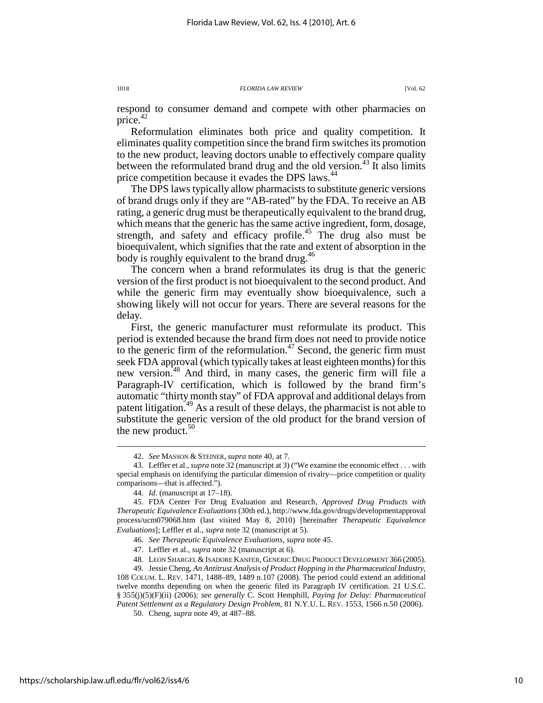respond to consumer demand and compete with other pharmacies on price. $42$ 

Reformulation eliminates both price and quality competition. It eliminates quality competition since the brand firm switches its promotion to the new product, leaving doctors unable to effectively compare quality between the reformulated brand drug and the old version.<sup>43</sup> It also limits price competition because it evades the DPS laws.<sup>44</sup>

The DPS laws typically allow pharmacists to substitute generic versions of brand drugs only if they are "AB-rated" by the FDA. To receive an AB rating, a generic drug must be therapeutically equivalent to the brand drug, which means that the generic has the same active ingredient, form, dosage, strength, and safety and efficacy profile.<sup>45</sup> The drug also must be bioequivalent, which signifies that the rate and extent of absorption in the body is roughly equivalent to the brand drug.<sup>46</sup>

The concern when a brand reformulates its drug is that the generic version of the first product is not bioequivalent to the second product. And while the generic firm may eventually show bioequivalence, such a showing likely will not occur for years. There are several reasons for the delay.

First, the generic manufacturer must reformulate its product. This period is extended because the brand firm does not need to provide notice to the generic firm of the reformulation. $47$  Second, the generic firm must seek FDA approval (which typically takes at least eighteen months) for this new version.<sup>48</sup> And third, in many cases, the generic firm will file a Paragraph-IV certification, which is followed by the brand firm's automatic "thirty month stay" of FDA approval and additional delays from patent litigation.<sup>49</sup> As a result of these delays, the pharmacist is not able to substitute the generic version of the old product for the brand version of the new product. $50$ 

 <sup>42.</sup> *See* MASSON & STEINER, *supra* note 40, at 7.

 <sup>43.</sup> Leffler et al., *supra* note 32 (manuscript at 3) ("We examine the economic effect . . . with special emphasis on identifying the particular dimension of rivalry—price competition or quality comparisons—that is affected.").

 <sup>44.</sup> *Id.* (manuscript at 17–18).

 <sup>45.</sup> FDA Center For Drug Evaluation and Research, *Approved Drug Products with Therapeutic Equivalence Evaluations* (30th ed.), http://www.fda.gov/drugs/developmentapproval process/ucm079068.htm (last visited May 8, 2010) [hereinafter *Therapeutic Equivalence Evaluations*]; Leffler et al., *supra* note 32 (manuscript at 5).

 <sup>46.</sup> *See Therapeutic Equivalence Evaluations*, *supra* note 45.

 <sup>47.</sup> Leffler et al., *supra* note 32 (manuscript at 6).

 <sup>48.</sup> LEON SHARGEL & ISADORE KANFER, GENERIC DRUG PRODUCT DEVELOPMENT 366 (2005).

 <sup>49.</sup> Jessie Cheng, *An Antitrust Analysis of Product Hopping in the Pharmaceutical Industry*, 108 COLUM. L. REV. 1471, 1488–89, 1489 n.107 (2008). The period could extend an additional twelve months depending on when the generic filed its Paragraph IV certification. 21 U.S.C. § 355(j)(5)(F)(ii) (2006); *see generally* C. Scott Hemphill, *Paying for Delay: Pharmaceutical Patent Settlement as a Regulatory Design Problem*, 81 N.Y.U. L. REV. 1553, 1566 n.50 (2006).

 <sup>50.</sup> Cheng, *supra* note 49, at 487–88.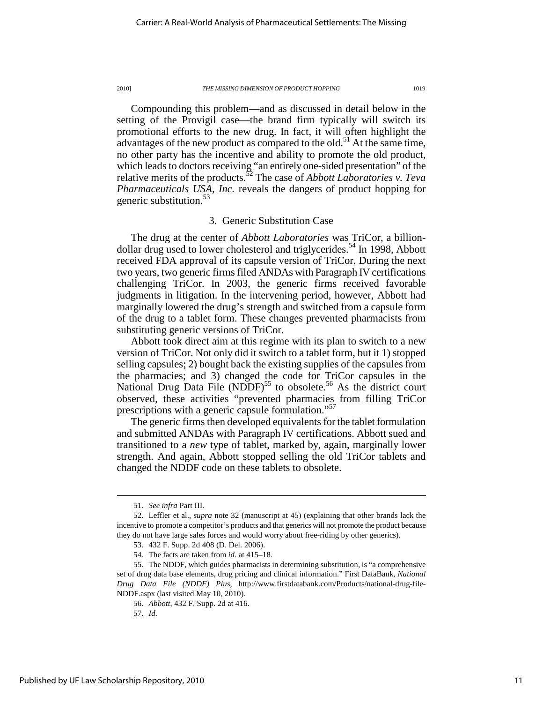Compounding this problem—and as discussed in detail below in the setting of the Provigil case—the brand firm typically will switch its promotional efforts to the new drug. In fact, it will often highlight the advantages of the new product as compared to the old.<sup>51</sup> At the same time, no other party has the incentive and ability to promote the old product, which leads to doctors receiving "an entirely one-sided presentation" of the relative merits of the products.<sup>52</sup> The case of *Abbott Laboratories v. Teva Pharmaceuticals USA, Inc.* reveals the dangers of product hopping for generic substitution.<sup>53</sup>

### 3. Generic Substitution Case

The drug at the center of *Abbott Laboratories* was TriCor, a billiondollar drug used to lower cholesterol and triglycerides.<sup>54</sup> In 1998, Abbott received FDA approval of its capsule version of TriCor. During the next two years, two generic firms filed ANDAs with Paragraph IV certifications challenging TriCor. In 2003, the generic firms received favorable judgments in litigation. In the intervening period, however, Abbott had marginally lowered the drug's strength and switched from a capsule form of the drug to a tablet form. These changes prevented pharmacists from substituting generic versions of TriCor.

Abbott took direct aim at this regime with its plan to switch to a new version of TriCor. Not only did it switch to a tablet form, but it 1) stopped selling capsules; 2) bought back the existing supplies of the capsules from the pharmacies; and 3) changed the code for TriCor capsules in the National Drug Data File (NDDF)<sup>55</sup> to obsolete.<sup>56</sup> As the district court observed, these activities "prevented pharmacies from filling TriCor prescriptions with a generic capsule formulation."<sup>57</sup>

The generic firms then developed equivalents for the tablet formulation and submitted ANDAs with Paragraph IV certifications. Abbott sued and transitioned to a *new* type of tablet, marked by, again, marginally lower strength. And again, Abbott stopped selling the old TriCor tablets and changed the NDDF code on these tablets to obsolete.

 <sup>51.</sup> *See infra* Part III.

 <sup>52.</sup> Leffler et al., *supra* note 32 (manuscript at 45) (explaining that other brands lack the incentive to promote a competitor's products and that generics will not promote the product because they do not have large sales forces and would worry about free-riding by other generics).

 <sup>53. 432</sup> F. Supp. 2d 408 (D. Del. 2006).

 <sup>54.</sup> The facts are taken from *id.* at 415–18.

 <sup>55.</sup> The NDDF, which guides pharmacists in determining substitution, is "a comprehensive set of drug data base elements, drug pricing and clinical information." First DataBank, *National Drug Data File (NDDF) Plus*, http://www.firstdatabank.com/Products/national-drug-file-NDDF.aspx (last visited May 10, 2010).

 <sup>56.</sup> *Abbott*, 432 F. Supp. 2d at 416.

 <sup>57.</sup> *Id.*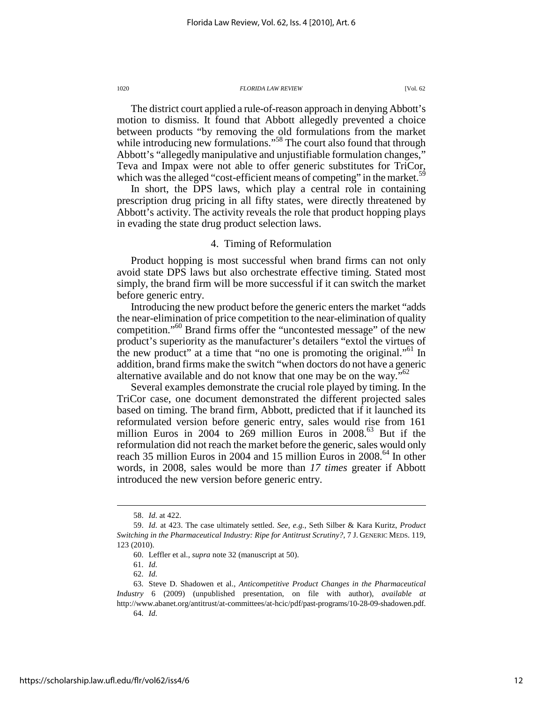The district court applied a rule-of-reason approach in denying Abbott's motion to dismiss. It found that Abbott allegedly prevented a choice between products "by removing the old formulations from the market while introducing new formulations."<sup>58</sup> The court also found that through Abbott's "allegedly manipulative and unjustifiable formulation changes," Teva and Impax were not able to offer generic substitutes for TriCor, which was the alleged "cost-efficient means of competing" in the market.<sup>59</sup>

In short, the DPS laws, which play a central role in containing prescription drug pricing in all fifty states, were directly threatened by Abbott's activity. The activity reveals the role that product hopping plays in evading the state drug product selection laws.

### 4. Timing of Reformulation

Product hopping is most successful when brand firms can not only avoid state DPS laws but also orchestrate effective timing. Stated most simply, the brand firm will be more successful if it can switch the market before generic entry.

Introducing the new product before the generic enters the market "adds the near-elimination of price competition to the near-elimination of quality competition."<sup>60</sup> Brand firms offer the "uncontested message" of the new product's superiority as the manufacturer's detailers "extol the virtues of the new product" at a time that "no one is promoting the original."<sup>61</sup> In addition, brand firms make the switch "when doctors do not have a generic alternative available and do not know that one may be on the way."<sup>62</sup>

Several examples demonstrate the crucial role played by timing. In the TriCor case, one document demonstrated the different projected sales based on timing. The brand firm, Abbott, predicted that if it launched its reformulated version before generic entry, sales would rise from 161 million Euros in 2004 to 269 million Euros in 2008.<sup>63</sup> But if the reformulation did not reach the market before the generic, sales would only reach 35 million Euros in 2004 and 15 million Euros in 2008.<sup>64</sup> In other words, in 2008, sales would be more than *17 times* greater if Abbott introduced the new version before generic entry.

 <sup>58.</sup> *Id.* at 422.

 <sup>59.</sup> *Id.* at 423. The case ultimately settled. *See, e.g.*, Seth Silber & Kara Kuritz, *Product Switching in the Pharmaceutical Industry: Ripe for Antitrust Scrutiny?*, 7 J. GENERIC MEDS. 119, 123 (2010).

 <sup>60.</sup> Leffler et al., *supra* note 32 (manuscript at 50).

 <sup>61.</sup> *Id.*

 <sup>62.</sup> *Id.* 63. Steve D. Shadowen et al., *Anticompetitive Product Changes in the Pharmaceutical Industry* 6 (2009) (unpublished presentation, on file with author), *available at*  http://www.abanet.org/antitrust/at-committees/at-hcic/pdf/past-programs/10-28-09-shadowen.pdf.

 <sup>64.</sup> *Id.*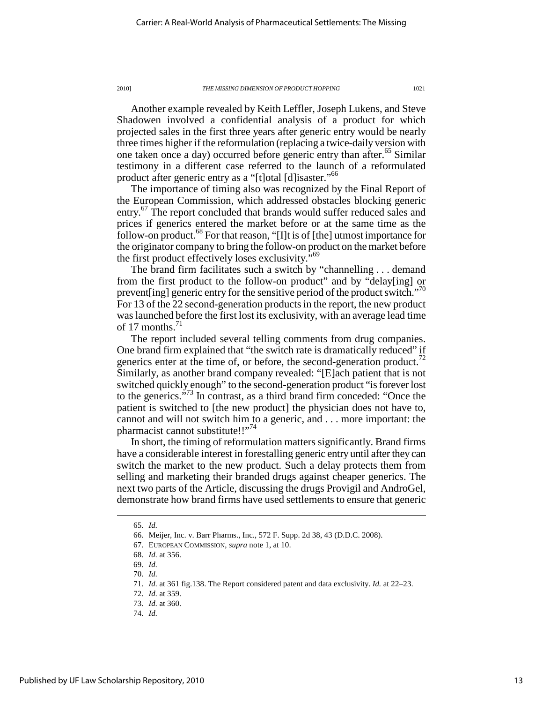Another example revealed by Keith Leffler, Joseph Lukens, and Steve Shadowen involved a confidential analysis of a product for which projected sales in the first three years after generic entry would be nearly three times higher if the reformulation (replacing a twice-daily version with one taken once a day) occurred before generic entry than after.<sup>65</sup> Similar testimony in a different case referred to the launch of a reformulated product after generic entry as a "[t]otal [d]isaster."<sup>66</sup>

The importance of timing also was recognized by the Final Report of the European Commission, which addressed obstacles blocking generic entry.<sup>67</sup> The report concluded that brands would suffer reduced sales and prices if generics entered the market before or at the same time as the follow-on product.<sup>68</sup> For that reason, "[I]t is of [the] utmost importance for the originator company to bring the follow-on product on the market before the first product effectively loses exclusivity."<sup>69</sup>

The brand firm facilitates such a switch by "channelling . . . demand from the first product to the follow-on product" and by "delay[ing] or prevent [ing] generic entry for the sensitive period of the product switch."<sup>70</sup> For 13 of the 22 second-generation products in the report, the new product was launched before the first lost its exclusivity, with an average lead time of 17 months. $^{71}$ 

The report included several telling comments from drug companies. One brand firm explained that "the switch rate is dramatically reduced" if generics enter at the time of, or before, the second-generation product.<sup>72</sup> Similarly, as another brand company revealed: "[E]ach patient that is not switched quickly enough" to the second-generation product "is forever lost to the generics."<sup>73</sup> In contrast, as a third brand firm conceded: "Once the patient is switched to [the new product] the physician does not have to, cannot and will not switch him to a generic, and . . . more important: the pharmacist cannot substitute!!"<sup>74</sup>

In short, the timing of reformulation matters significantly. Brand firms have a considerable interest in forestalling generic entry until after they can switch the market to the new product. Such a delay protects them from selling and marketing their branded drugs against cheaper generics. The next two parts of the Article, discussing the drugs Provigil and AndroGel, demonstrate how brand firms have used settlements to ensure that generic

 <sup>65.</sup> *Id.*

 <sup>66.</sup> Meijer, Inc. v. Barr Pharms., Inc., 572 F. Supp. 2d 38, 43 (D.D.C. 2008).

 <sup>67.</sup> EUROPEAN COMMISSION, *supra* note 1, at 10.

 <sup>68.</sup> *Id.* at 356.

 <sup>69.</sup> *Id.*

 <sup>70.</sup> *Id.*

 <sup>71.</sup> *Id.* at 361 fig.138. The Report considered patent and data exclusivity. *Id.* at 22–23.

 <sup>72.</sup> *Id.* at 359.

 <sup>73.</sup> *Id.* at 360.

 <sup>74.</sup> *Id.*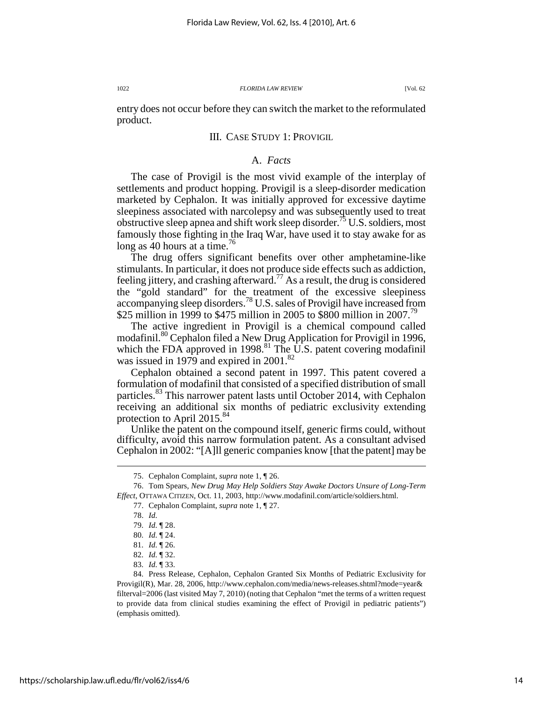entry does not occur before they can switch the market to the reformulated product.

### III. CASE STUDY 1: PROVIGIL

### A. *Facts*

The case of Provigil is the most vivid example of the interplay of settlements and product hopping. Provigil is a sleep-disorder medication marketed by Cephalon. It was initially approved for excessive daytime sleepiness associated with narcolepsy and was subsequently used to treat obstructive sleep apnea and shift work sleep disorder.<sup>75</sup> U.S. soldiers, most famously those fighting in the Iraq War, have used it to stay awake for as long as 40 hours at a time.<sup>76</sup>

The drug offers significant benefits over other amphetamine-like stimulants. In particular, it does not produce side effects such as addiction, feeling jittery, and crashing afterward.<sup>77</sup> As a result, the drug is considered the "gold standard" for the treatment of the excessive sleepiness accompanying sleep disorders.<sup>78</sup> U.S. sales of Provigil have increased from \$25 million in 1999 to \$475 million in 2005 to \$800 million in 2007.<sup>79</sup>

The active ingredient in Provigil is a chemical compound called modafinil.<sup>80</sup> Cephalon filed a New Drug Application for Provigil in 1996, which the FDA approved in 1998.<sup>81</sup> The U.S. patent covering modafinil was issued in 1979 and expired in 2001.<sup>82</sup>

Cephalon obtained a second patent in 1997. This patent covered a formulation of modafinil that consisted of a specified distribution of small particles.<sup>83</sup> This narrower patent lasts until October 2014, with Cephalon receiving an additional six months of pediatric exclusivity extending protection to April 2015.<sup>84</sup>

Unlike the patent on the compound itself, generic firms could, without difficulty, avoid this narrow formulation patent. As a consultant advised Cephalon in 2002: "[A]ll generic companies know [that the patent] may be

 <sup>75.</sup> Cephalon Complaint, *supra* note 1, ¶ 26.

 <sup>76.</sup> Tom Spears, *New Drug May Help Soldiers Stay Awake Doctors Unsure of Long-Term Effect*, OTTAWA CITIZEN, Oct. 11, 2003, http://www.modafinil.com/article/soldiers.html.

 <sup>77.</sup> Cephalon Complaint, *supra* note 1, ¶ 27.

 <sup>78.</sup> *Id.*

 <sup>79.</sup> *Id.* ¶ 28.

 <sup>80.</sup> *Id.* ¶ 24.

 <sup>81.</sup> *Id.* ¶ 26.

 <sup>82.</sup> *Id.* ¶ 32.

 <sup>83.</sup> *Id.* ¶ 33.

 <sup>84.</sup> Press Release, Cephalon, Cephalon Granted Six Months of Pediatric Exclusivity for Provigil(R), Mar. 28, 2006, http://www.cephalon.com/media/news-releases.shtml?mode=year& filterval=2006 (last visited May 7, 2010) (noting that Cephalon "met the terms of a written request to provide data from clinical studies examining the effect of Provigil in pediatric patients") (emphasis omitted).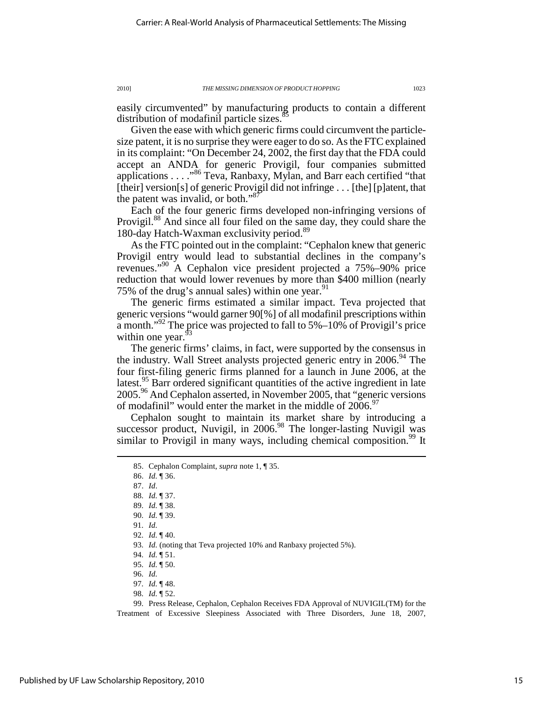easily circumvented" by manufacturing products to contain a different distribution of modafinil particle sizes.<sup>8</sup>

Given the ease with which generic firms could circumvent the particlesize patent, it is no surprise they were eager to do so. As the FTC explained in its complaint: "On December 24, 2002, the first day that the FDA could accept an ANDA for generic Provigil, four companies submitted applications . . . ."<sup>86</sup> Teva, Ranbaxy, Mylan, and Barr each certified "that [their] version[s] of generic Provigil did not infringe . . . [the] [p]atent, that the patent was invalid, or both." $87$ 

Each of the four generic firms developed non-infringing versions of Provigil.<sup>88</sup> And since all four filed on the same day, they could share the 180-day Hatch-Waxman exclusivity period.<sup>89</sup>

As the FTC pointed out in the complaint: "Cephalon knew that generic Provigil entry would lead to substantial declines in the company's revenues."<sup>90</sup> A Cephalon vice president projected a 75%–90% price reduction that would lower revenues by more than \$400 million (nearly 75% of the drug's annual sales) within one year.  $91$ 

The generic firms estimated a similar impact. Teva projected that generic versions "would garner 90[%] of all modafinil prescriptions within a month."<sup>92</sup> The price was projected to fall to  $5\% - 10\%$  of Provigil's price within one year.<sup>9</sup>

The generic firms' claims, in fact, were supported by the consensus in the industry. Wall Street analysts projected generic entry in  $2006$ .<sup>94</sup> The four first-filing generic firms planned for a launch in June 2006, at the latest.<sup>95</sup> Barr ordered significant quantities of the active ingredient in late  $2005.<sup>96</sup>$  And Cephalon asserted, in November 2005, that "generic versions" of modafinil" would enter the market in the middle of  $2006$ .<sup>97</sup>

Cephalon sought to maintain its market share by introducing a successor product, Nuvigil, in  $2006<sup>98</sup>$  The longer-lasting Nuvigil was similar to Provigil in many ways, including chemical composition.<sup>99</sup> It

86. *Id.* ¶ 36.

 $\overline{a}$ 

98. *Id.* ¶ 52.

 99. Press Release, Cephalon, Cephalon Receives FDA Approval of NUVIGIL(TM) for the Treatment of Excessive Sleepiness Associated with Three Disorders, June 18, 2007,

 <sup>85.</sup> Cephalon Complaint, *supra* note 1, ¶ 35.

 <sup>87.</sup> *Id*. 88. *Id.* ¶ 37.

 <sup>89.</sup> *Id.* ¶ 38.

 <sup>90.</sup> *Id.* ¶ 39.

 <sup>91.</sup> *Id.*

 <sup>92.</sup> *Id.* ¶ 40.

 <sup>93.</sup> *Id.* (noting that Teva projected 10% and Ranbaxy projected 5%).

 <sup>94.</sup> *Id.* ¶ 51.

 <sup>95.</sup> *Id.* ¶ 50.

 <sup>96.</sup> *Id.*

 <sup>97.</sup> *Id.* ¶ 48.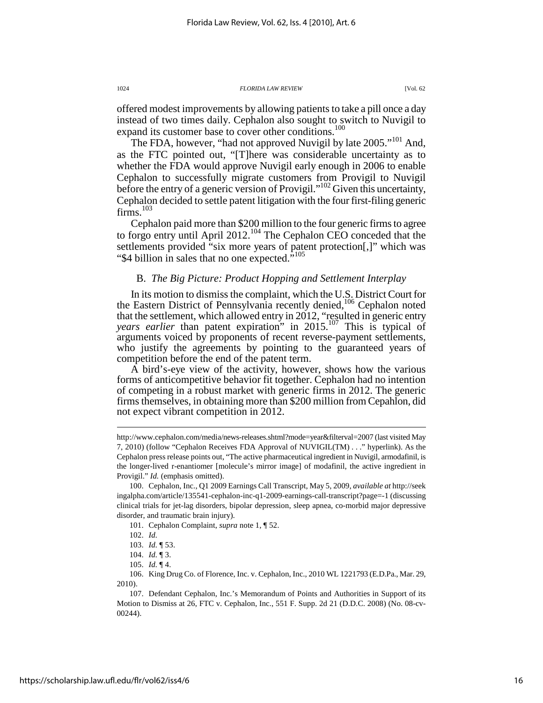offered modest improvements by allowing patients to take a pill once a day instead of two times daily. Cephalon also sought to switch to Nuvigil to expand its customer base to cover other conditions.<sup>100</sup>

The FDA, however, "had not approved Nuvigil by late 2005."<sup>101</sup> And, as the FTC pointed out, "[T]here was considerable uncertainty as to whether the FDA would approve Nuvigil early enough in 2006 to enable Cephalon to successfully migrate customers from Provigil to Nuvigil before the entry of a generic version of Provigil."<sup>102</sup> Given this uncertainty, Cephalon decided to settle patent litigation with the four first-filing generic firms.<sup>103</sup>

Cephalon paid more than \$200 million to the four generic firms to agree to forgo entry until April 2012.<sup>104</sup> The Cephalon CEO conceded that the settlements provided "six more years of patent protection[,]" which was "\$4 billion in sales that no one expected."<sup>105</sup>

### B. *The Big Picture: Product Hopping and Settlement Interplay*

In its motion to dismiss the complaint, which the U.S. District Court for the Eastern District of Pennsylvania recently denied,<sup>106</sup> Cephalon noted that the settlement, which allowed entry in 2012, "resulted in generic entry *years earlier* than patent expiration" in 2015.<sup>107</sup> This is typical of arguments voiced by proponents of recent reverse-payment settlements, who justify the agreements by pointing to the guaranteed years of competition before the end of the patent term.

A bird's-eye view of the activity, however, shows how the various forms of anticompetitive behavior fit together. Cephalon had no intention of competing in a robust market with generic firms in 2012. The generic firms themselves, in obtaining more than \$200 million from Cepahlon, did not expect vibrant competition in 2012.

 $\overline{a}$ 

 106. King Drug Co. of Florence, Inc. v. Cephalon, Inc., 2010 WL 1221793 (E.D.Pa., Mar. 29, 2010).

http://www.cephalon.com/media/news-releases.shtml?mode=year&filterval=2007 (last visited May 7, 2010) (follow "Cephalon Receives FDA Approval of NUVIGIL(TM) . . ." hyperlink). As the Cephalon press release points out, "The active pharmaceutical ingredient in Nuvigil, armodafinil, is the longer-lived r-enantiomer [molecule's mirror image] of modafinil, the active ingredient in Provigil." *Id.* (emphasis omitted).

 <sup>100.</sup> Cephalon, Inc., Q1 2009 Earnings Call Transcript, May 5, 2009, *available at* http://seek ingalpha.com/article/135541-cephalon-inc-q1-2009-earnings-call-transcript?page=-1 (discussing clinical trials for jet-lag disorders, bipolar depression, sleep apnea, co-morbid major depressive disorder, and traumatic brain injury).

 <sup>101.</sup> Cephalon Complaint, *supra* note 1, ¶ 52.

 <sup>102.</sup> *Id.*

 <sup>103.</sup> *Id.* ¶ 53.

 <sup>104.</sup> *Id.* ¶ 3.

 <sup>105.</sup> *Id.* ¶ 4.

 <sup>107.</sup> Defendant Cephalon, Inc.'s Memorandum of Points and Authorities in Support of its Motion to Dismiss at 26, FTC v. Cephalon, Inc., 551 F. Supp. 2d 21 (D.D.C. 2008) (No. 08-cv-00244).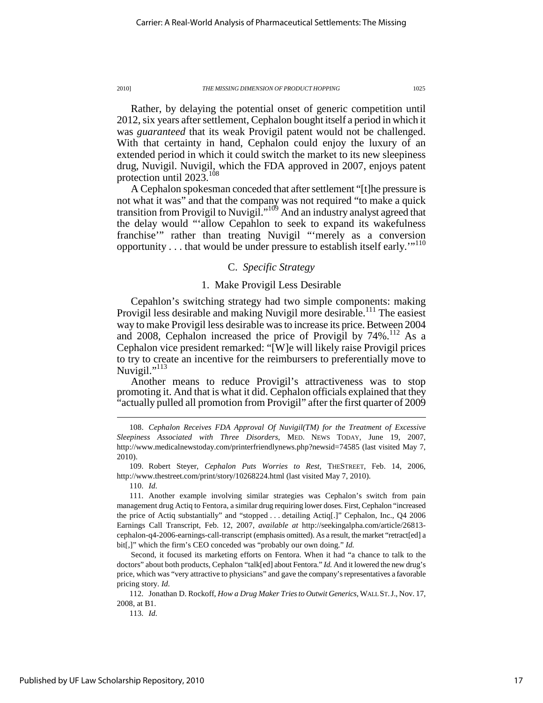Rather, by delaying the potential onset of generic competition until 2012, six years after settlement, Cephalon bought itself a period in which it was *guaranteed* that its weak Provigil patent would not be challenged. With that certainty in hand, Cephalon could enjoy the luxury of an extended period in which it could switch the market to its new sleepiness drug, Nuvigil. Nuvigil, which the FDA approved in 2007, enjoys patent protection until 2023.<sup>108</sup>

A Cephalon spokesman conceded that after settlement "[t]he pressure is not what it was" and that the company was not required "to make a quick transition from Provigil to Nuvigil."<sup>109</sup> And an industry analyst agreed that the delay would "'allow Cepahlon to seek to expand its wakefulness franchise'" rather than treating Nuvigil "'merely as a conversion opportunity . . . that would be under pressure to establish itself early."<sup>110</sup>

### C. *Specific Strategy*

### 1. Make Provigil Less Desirable

Cepahlon's switching strategy had two simple components: making Provigil less desirable and making Nuvigil more desirable.<sup>111</sup> The easiest way to make Provigil less desirable was to increase its price. Between 2004 and 2008, Cephalon increased the price of Provigil by  $74\%$ .<sup>112</sup> As a Cephalon vice president remarked: "[W]e will likely raise Provigil prices to try to create an incentive for the reimbursers to preferentially move to Nuvigil."<sup>113</sup>

Another means to reduce Provigil's attractiveness was to stop promoting it. And that is what it did. Cephalon officials explained that they "actually pulled all promotion from Provigil" after the first quarter of 2009

 109. Robert Steyer, *Cephalon Puts Worries to Rest*, THESTREET, Feb. 14, 2006, http://www.thestreet.com/print/story/10268224.html (last visited May 7, 2010).

110. *Id.*

 $\overline{a}$ 

Second, it focused its marketing efforts on Fentora. When it had "a chance to talk to the doctors" about both products, Cephalon "talk[ed] about Fentora." *Id.* And it lowered the new drug's price, which was "very attractive to physicians" and gave the company's representatives a favorable pricing story. *Id.*

 112. Jonathan D. Rockoff, *How a Drug Maker Tries to Outwit Generics*, WALL ST.J., Nov. 17, 2008, at B1.

113. *Id.*

 <sup>108.</sup> *Cephalon Receives FDA Approval Of Nuvigil(TM) for the Treatment of Excessive Sleepiness Associated with Three Disorders*, MED. NEWS TODAY, June 19, 2007, http://www.medicalnewstoday.com/printerfriendlynews.php?newsid=74585 (last visited May 7, 2010).

 <sup>111.</sup> Another example involving similar strategies was Cephalon's switch from pain management drug Actiq to Fentora, a similar drug requiring lower doses. First, Cephalon "increased the price of Actiq substantially" and "stopped . . . detailing Actiq[.]" Cephalon, Inc., Q4 2006 Earnings Call Transcript, Feb. 12, 2007, *available at* http://seekingalpha.com/article/26813 cephalon-q4-2006-earnings-call-transcript (emphasis omitted). As a result, the market "retract[ed] a bit[,]" which the firm's CEO conceded was "probably our own doing." *Id.*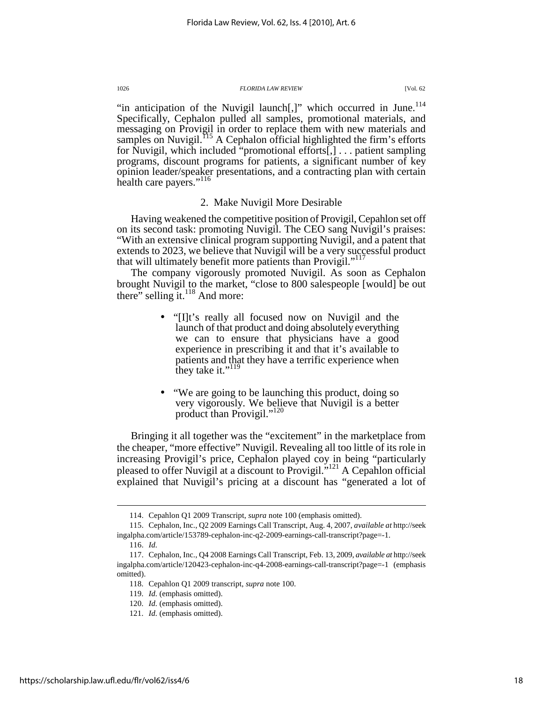"in anticipation of the Nuvigil launch[,]" which occurred in June.<sup>114</sup> Specifically, Cephalon pulled all samples, promotional materials, and messaging on Provigil in order to replace them with new materials and samples on Nuvigil.<sup> $115$ </sup> A Cephalon official highlighted the firm's efforts for Nuvigil, which included "promotional efforts[,] . . . patient sampling programs, discount programs for patients, a significant number of key opinion leader/speaker presentations, and a contracting plan with certain health care payers."<sup>116</sup>

### 2. Make Nuvigil More Desirable

Having weakened the competitive position of Provigil, Cepahlon set off on its second task: promoting Nuvigil. The CEO sang Nuvigil's praises: "With an extensive clinical program supporting Nuvigil, and a patent that extends to 2023, we believe that Nuvigil will be a very successful product that will ultimately benefit more patients than Provigil."<sup>11</sup>

The company vigorously promoted Nuvigil. As soon as Cephalon brought Nuvigil to the market, "close to 800 salespeople [would] be out there" selling it. $^{118}$  And more:

- "[I]t's really all focused now on Nuvigil and the launch of that product and doing absolutely everything we can to ensure that physicians have a good experience in prescribing it and that it's available to patients and that they have a terrific experience when they take it." $^{119}$
- "We are going to be launching this product, doing so very vigorously. We believe that Nuvigil is a better product than Provigil."<sup>120</sup>

Bringing it all together was the "excitement" in the marketplace from the cheaper, "more effective" Nuvigil. Revealing all too little of its role in increasing Provigil's price, Cephalon played coy in being "particularly pleased to offer Nuvigil at a discount to Provigil."<sup>121</sup> A Cepahlon official explained that Nuvigil's pricing at a discount has "generated a lot of

 <sup>114.</sup> Cepahlon Q1 2009 Transcript, *supra* note 100 (emphasis omitted).

 <sup>115.</sup> Cephalon, Inc., Q2 2009 Earnings Call Transcript, Aug. 4, 2007, *available at* http://seek ingalpha.com/article/153789-cephalon-inc-q2-2009-earnings-call-transcript?page=-1.

 <sup>116.</sup> *Id.*

 <sup>117.</sup> Cephalon, Inc., Q4 2008 Earnings Call Transcript, Feb. 13, 2009, *available at* http://seek ingalpha.com/article/120423-cephalon-inc-q4-2008-earnings-call-transcript?page=-1 (emphasis omitted).

 <sup>118.</sup> Cepahlon Q1 2009 transcript, *supra* note 100.

 <sup>119.</sup> *Id.* (emphasis omitted).

 <sup>120.</sup> *Id.* (emphasis omitted).

 <sup>121.</sup> *Id.* (emphasis omitted).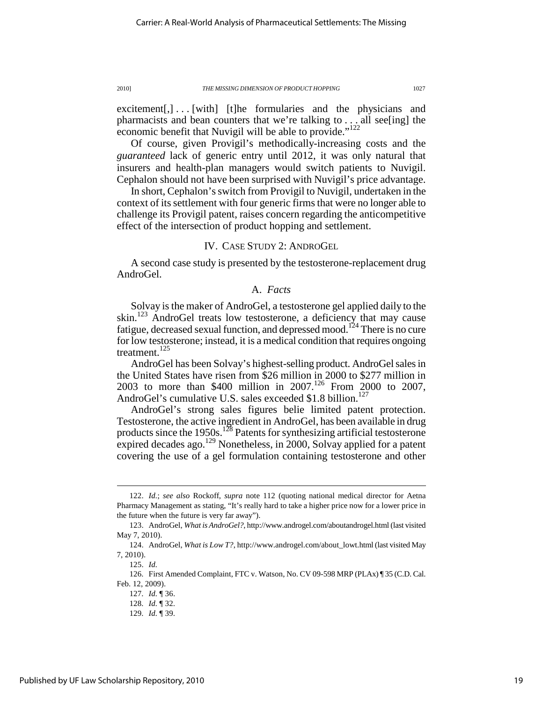$excitement[,] \ldots [with]$  [t]he formularies and the physicians and pharmacists and bean counters that we're talking to . . . all see[ing] the economic benefit that Nuvigil will be able to provide."<sup>122</sup>

Of course, given Provigil's methodically-increasing costs and the *guaranteed* lack of generic entry until 2012, it was only natural that insurers and health-plan managers would switch patients to Nuvigil. Cephalon should not have been surprised with Nuvigil's price advantage.

In short, Cephalon's switch from Provigil to Nuvigil, undertaken in the context of its settlement with four generic firms that were no longer able to challenge its Provigil patent, raises concern regarding the anticompetitive effect of the intersection of product hopping and settlement.

### IV. CASE STUDY 2: ANDROGEL

A second case study is presented by the testosterone-replacement drug AndroGel.

### A. *Facts*

Solvay is the maker of AndroGel, a testosterone gel applied daily to the skin.<sup>123</sup> AndroGel treats low testosterone, a deficiency that may cause fatigue, decreased sexual function, and depressed mood.<sup>124</sup> There is no cure for low testosterone; instead, it is a medical condition that requires ongoing treatment.<sup>125</sup>

AndroGel has been Solvay's highest-selling product. AndroGel sales in the United States have risen from \$26 million in 2000 to \$277 million in 2003 to more than \$400 million in 2007.<sup>126</sup> From 2000 to 2007, AndroGel's cumulative U.S. sales exceeded \$1.8 billion.<sup>127</sup>

AndroGel's strong sales figures belie limited patent protection. Testosterone, the active ingredient in AndroGel, has been available in drug products since the 1950s.<sup>128</sup> Patents for synthesizing artificial testosterone expired decades ago.<sup>129</sup> Nonetheless, in 2000, Solvay applied for a patent covering the use of a gel formulation containing testosterone and other

 <sup>122.</sup> *Id.*; *see also* Rockoff, *supra* note 112 (quoting national medical director for Aetna Pharmacy Management as stating, "It's really hard to take a higher price now for a lower price in the future when the future is very far away").

 <sup>123.</sup> AndroGel, *What is AndroGel?*, http://www.androgel.com/aboutandrogel.html (last visited May 7, 2010).

 <sup>124.</sup> AndroGel, *What is Low T?*, http://www.androgel.com/about\_lowt.html (last visited May 7, 2010).

 <sup>125.</sup> *Id.*

 <sup>126.</sup> First Amended Complaint, FTC v. Watson, No. CV 09-598 MRP (PLAx) ¶ 35 (C.D. Cal. Feb. 12, 2009).

 <sup>127.</sup> *Id.* ¶ 36.

 <sup>128.</sup> *Id.* ¶ 32.

 <sup>129.</sup> *Id.* ¶ 39.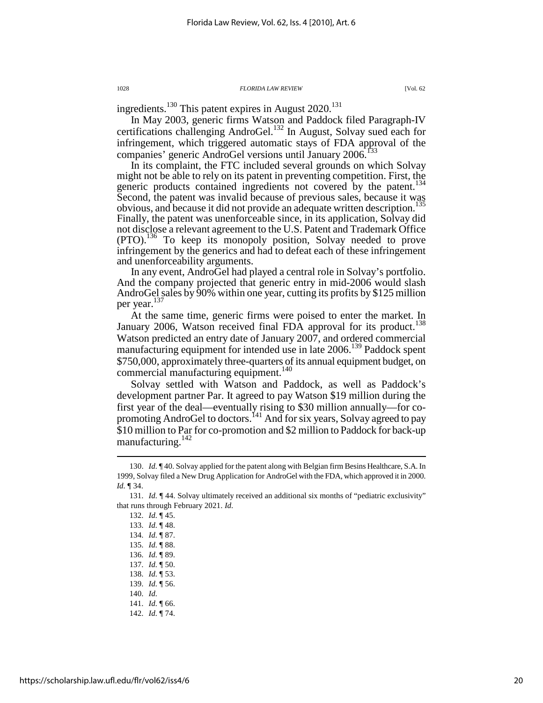ingredients.<sup>130</sup> This patent expires in August  $2020$ <sup>131</sup>

In May 2003, generic firms Watson and Paddock filed Paragraph-IV certifications challenging AndroGel.<sup>132</sup> In August, Solvay sued each for infringement, which triggered automatic stays of FDA approval of the companies' generic AndroGel versions until January 2006.<sup>133</sup>

In its complaint, the FTC included several grounds on which Solvay might not be able to rely on its patent in preventing competition. First, the generic products contained ingredients not covered by the patent.<sup>1</sup> Second, the patent was invalid because of previous sales, because it was obvious, and because it did not provide an adequate written description.<sup>1</sup> Finally, the patent was unenforceable since, in its application, Solvay did not disclose a relevant agreement to the U.S. Patent and Trademark Office (PTO).<sup>136</sup> To keep its monopoly position, Solvay needed to prove infringement by the generics and had to defeat each of these infringement and unenforceability arguments.

In any event, AndroGel had played a central role in Solvay's portfolio. And the company projected that generic entry in mid-2006 would slash AndroGel sales by 90% within one year, cutting its profits by \$125 million per year. 137

At the same time, generic firms were poised to enter the market. In January 2006, Watson received final FDA approval for its product.<sup>138</sup> Watson predicted an entry date of January 2007, and ordered commercial manufacturing equipment for intended use in late 2006.<sup>139</sup> Paddock spent \$750,000, approximately three-quarters of its annual equipment budget, on commercial manufacturing equipment.<sup>140</sup>

Solvay settled with Watson and Paddock, as well as Paddock's development partner Par. It agreed to pay Watson \$19 million during the first year of the deal—eventually rising to \$30 million annually—for copromoting AndroGel to doctors.<sup>141</sup> And for six years, Solvay agreed to pay \$10 million to Par for co-promotion and \$2 million to Paddock for back-up manufacturing.<sup>142</sup>

 <sup>130.</sup> *Id.* ¶ 40. Solvay applied for the patent along with Belgian firm Besins Healthcare, S.A. In 1999, Solvay filed a New Drug Application for AndroGel with the FDA, which approved it in 2000. *Id.* ¶ 34.

 <sup>131.</sup> *Id.* ¶ 44. Solvay ultimately received an additional six months of "pediatric exclusivity" that runs through February 2021. *Id.*

 <sup>132.</sup> *Id.* ¶ 45.

 <sup>133.</sup> *Id.* ¶ 48.

 <sup>134.</sup> *Id.* ¶ 87.

 <sup>135.</sup> *Id.* ¶ 88.

 <sup>136.</sup> *Id.* ¶ 89.

 <sup>137.</sup> *Id.* ¶ 50.

 <sup>138.</sup> *Id.* ¶ 53.

 <sup>139.</sup> *Id.* ¶ 56.

 <sup>140.</sup> *Id.* 141. *Id.* ¶ 66.

 <sup>142.</sup> *Id.* ¶ 74.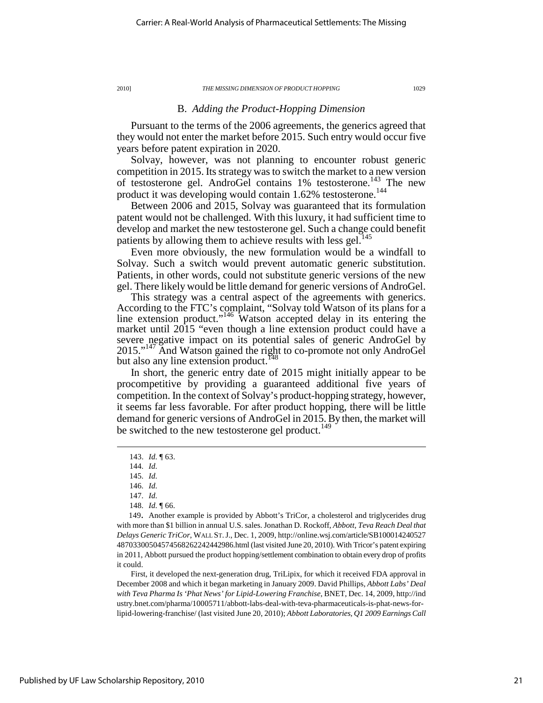# B. *Adding the Product-Hopping Dimension*

Pursuant to the terms of the 2006 agreements, the generics agreed that they would not enter the market before 2015. Such entry would occur five years before patent expiration in 2020.

Solvay, however, was not planning to encounter robust generic competition in 2015. Its strategy was to switch the market to a new version of testosterone gel. AndroGel contains 1% testosterone.<sup>143</sup> The new product it was developing would contain 1.62% testosterone.<sup>144</sup>

Between 2006 and 2015, Solvay was guaranteed that its formulation patent would not be challenged. With this luxury, it had sufficient time to develop and market the new testosterone gel. Such a change could benefit patients by allowing them to achieve results with less gel.<sup>145</sup>

Even more obviously, the new formulation would be a windfall to Solvay. Such a switch would prevent automatic generic substitution. Patients, in other words, could not substitute generic versions of the new gel. There likely would be little demand for generic versions of AndroGel.

This strategy was a central aspect of the agreements with generics. According to the FTC's complaint, "Solvay told Watson of its plans for a line extension product."<sup>146</sup> Watson accepted delay in its entering the market until 2015 "even though a line extension product could have a severe negative impact on its potential sales of generic AndroGel by 2015."<sup>147</sup> And Watson gained the right to co-promote not only AndroGel but also any line extension product.<sup>148</sup>

In short, the generic entry date of 2015 might initially appear to be procompetitive by providing a guaranteed additional five years of competition. In the context of Solvay's product-hopping strategy, however, it seems far less favorable. For after product hopping, there will be little demand for generic versions of AndroGel in 2015. By then, the market will be switched to the new testosterone gel product.<sup>149</sup>

 $\overline{a}$ 

149. Another example is provided by Abbott's TriCor, a cholesterol and triglycerides drug with more than \$1 billion in annual U.S. sales. Jonathan D. Rockoff, *Abbott, Teva Reach Deal that Delays Generic TriCor*, WALL ST.J., Dec. 1, 2009, http://online.wsj.com/article/SB100014240527 48703300504574568262242442986.html (last visited June 20, 2010). With Tricor's patent expiring in 2011, Abbott pursued the product hopping/settlement combination to obtain every drop of profits it could.

First, it developed the next-generation drug, TriLipix, for which it received FDA approval in December 2008 and which it began marketing in January 2009. David Phillips, *Abbott Labs' Deal with Teva Pharma Is 'Phat News' for Lipid-Lowering Franchise*, BNET, Dec. 14, 2009, http://ind ustry.bnet.com/pharma/10005711/abbott-labs-deal-with-teva-pharmaceuticals-is-phat-news-forlipid-lowering-franchise/ (last visited June 20, 2010); *Abbott Laboratories, Q1 2009 Earnings Call* 

 <sup>143.</sup> *Id.* ¶ 63.

 <sup>144.</sup> *Id.*

 <sup>145.</sup> *Id.*

 <sup>146.</sup> *Id.*

 <sup>147.</sup> *Id.*

 <sup>148.</sup> *Id.* ¶ 66.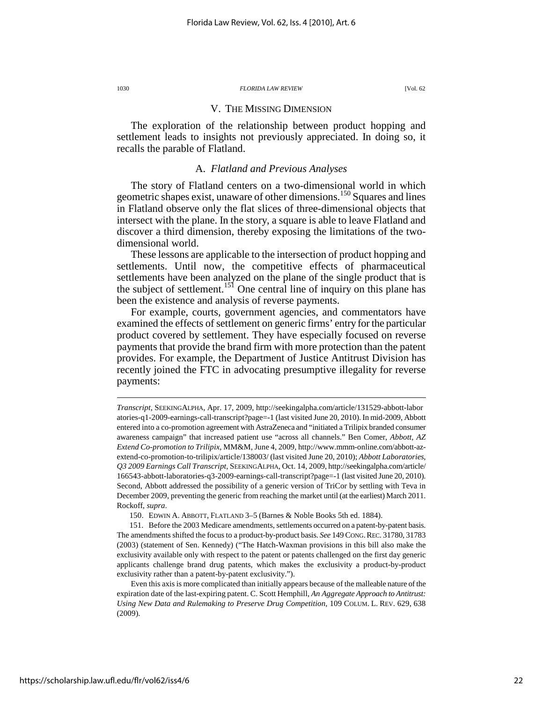#### V. THE MISSING DIMENSION

The exploration of the relationship between product hopping and settlement leads to insights not previously appreciated. In doing so, it recalls the parable of Flatland.

### A. *Flatland and Previous Analyses*

The story of Flatland centers on a two-dimensional world in which geometric shapes exist, unaware of other dimensions.<sup>150</sup> Squares and lines in Flatland observe only the flat slices of three-dimensional objects that intersect with the plane. In the story, a square is able to leave Flatland and discover a third dimension, thereby exposing the limitations of the twodimensional world.

These lessons are applicable to the intersection of product hopping and settlements. Until now, the competitive effects of pharmaceutical settlements have been analyzed on the plane of the single product that is the subject of settlement.<sup>151</sup> One central line of inquiry on this plane has been the existence and analysis of reverse payments.

For example, courts, government agencies, and commentators have examined the effects of settlement on generic firms' entry for the particular product covered by settlement. They have especially focused on reverse payments that provide the brand firm with more protection than the patent provides. For example, the Department of Justice Antitrust Division has recently joined the FTC in advocating presumptive illegality for reverse payments:

*Transcript*, SEEKINGALPHA, Apr. 17, 2009, http://seekingalpha.com/article/131529-abbott-labor atories-q1-2009-earnings-call-transcript?page=-1 (last visited June 20, 2010). In mid-2009, Abbott entered into a co-promotion agreement with AstraZeneca and "initiated a Trilipix branded consumer awareness campaign" that increased patient use "across all channels." Ben Comer, *Abbott, AZ Extend Co-promotion to Trilipix*, MM&M, June 4, 2009, http://www.mmm-online.com/abbott-azextend-co-promotion-to-trilipix/article/138003/ (last visited June 20, 2010); *Abbott Laboratories, Q3 2009 Earnings Call Transcript*, SEEKINGALPHA, Oct. 14, 2009, http://seekingalpha.com/article/ 166543-abbott-laboratories-q3-2009-earnings-call-transcript?page=-1 (last visited June 20, 2010). Second, Abbott addressed the possibility of a generic version of TriCor by settling with Teva in December 2009, preventing the generic from reaching the market until (at the earliest) March 2011. Rockoff, *supra*.

 <sup>150.</sup> EDWIN A. ABBOTT, FLATLAND 3–5 (Barnes & Noble Books 5th ed. 1884).

 <sup>151.</sup> Before the 2003 Medicare amendments, settlements occurred on a patent-by-patent basis. The amendments shifted the focus to a product-by-product basis. *See* 149 CONG.REC. 31780, 31783 (2003) (statement of Sen. Kennedy) ("The Hatch-Waxman provisions in this bill also make the exclusivity available only with respect to the patent or patents challenged on the first day generic applicants challenge brand drug patents, which makes the exclusivity a product-by-product exclusivity rather than a patent-by-patent exclusivity.").

Even this axis is more complicated than initially appears because of the malleable nature of the expiration date of the last-expiring patent. C. Scott Hemphill, *An Aggregate Approach to Antitrust: Using New Data and Rulemaking to Preserve Drug Competition*, 109 COLUM. L. REV. 629, 638 (2009).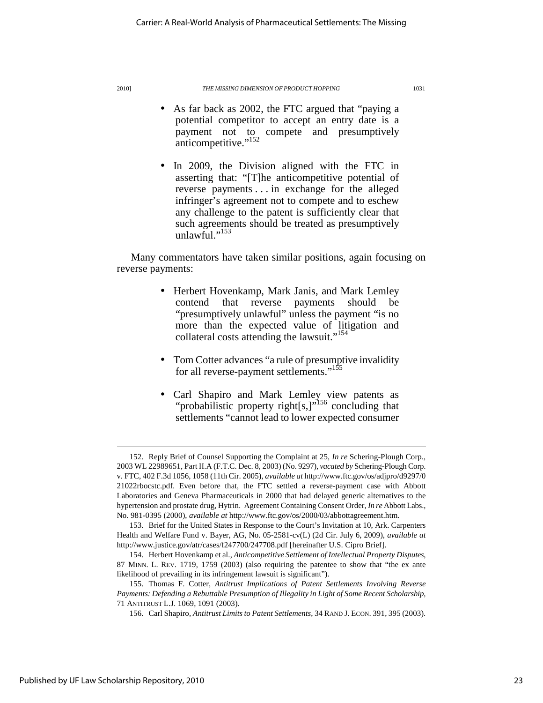- As far back as 2002, the FTC argued that "paying a potential competitor to accept an entry date is a payment not to compete and presumptively anticompetitive."<sup>152</sup>
- In 2009, the Division aligned with the FTC in asserting that: "[T]he anticompetitive potential of reverse payments . . . in exchange for the alleged infringer's agreement not to compete and to eschew any challenge to the patent is sufficiently clear that such agreements should be treated as presumptively unlawful."<sup>153</sup>

Many commentators have taken similar positions, again focusing on reverse payments:

- Herbert Hovenkamp, Mark Janis, and Mark Lemley contend that reverse payments should be "presumptively unlawful" unless the payment "is no more than the expected value of litigation and collateral costs attending the lawsuit."<sup>154</sup>
- Tom Cotter advances "a rule of presumptive invalidity for all reverse-payment settlements."<sup>155</sup>
- Carl Shapiro and Mark Lemley view patents as "probabilistic property right[s,]"<sup>156</sup> concluding that settlements "cannot lead to lower expected consumer

 <sup>152.</sup> Reply Brief of Counsel Supporting the Complaint at 25, *In re* Schering-Plough Corp., 2003 WL 22989651, Part II.A (F.T.C. Dec. 8, 2003) (No. 9297), *vacated by* Schering-Plough Corp. v. FTC, 402 F.3d 1056, 1058 (11th Cir. 2005), *available at* http://www.ftc.gov/os/adjpro/d9297/0 21022rbocstc.pdf. Even before that, the FTC settled a reverse-payment case with Abbott Laboratories and Geneva Pharmaceuticals in 2000 that had delayed generic alternatives to the hypertension and prostate drug, Hytrin. Agreement Containing Consent Order, *In re* Abbott Labs., No. 981-0395 (2000), *available at* http://www.ftc.gov/os/2000/03/abbottagreement.htm.

 <sup>153.</sup> Brief for the United States in Response to the Court's Invitation at 10, Ark. Carpenters Health and Welfare Fund v. Bayer, AG, No. 05-2581-cv(L) (2d Cir. July 6, 2009), *available at*  http://www.justice.gov/atr/cases/f247700/247708.pdf [hereinafter U.S. Cipro Brief].

 <sup>154.</sup> Herbert Hovenkamp et al., *Anticompetitive Settlement of Intellectual Property Disputes*, 87 MINN. L. REV. 1719, 1759 (2003) (also requiring the patentee to show that "the ex ante likelihood of prevailing in its infringement lawsuit is significant").

 <sup>155.</sup> Thomas F. Cotter, *Antitrust Implications of Patent Settlements Involving Reverse Payments: Defending a Rebuttable Presumption of Illegality in Light of Some Recent Scholarship*, 71 ANTITRUST L.J. 1069, 1091 (2003).

 <sup>156.</sup> Carl Shapiro, *Antitrust Limits to Patent Settlements*, 34 RAND J. ECON. 391, 395 (2003).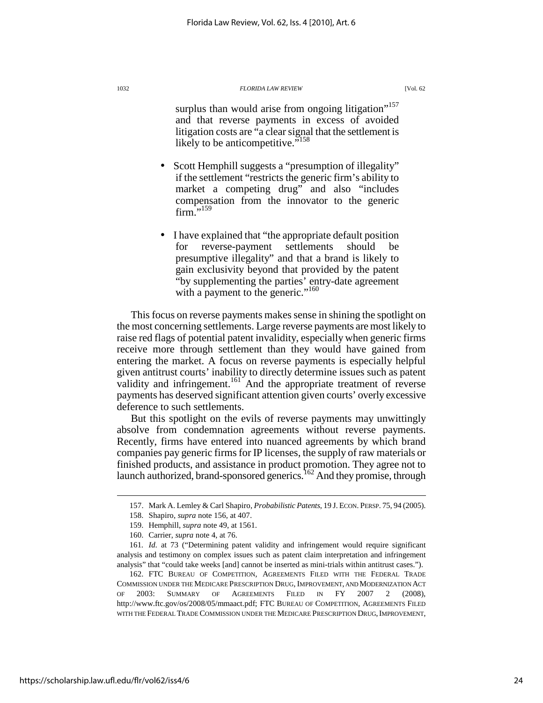surplus than would arise from ongoing litigation"<sup>157</sup> and that reverse payments in excess of avoided litigation costs are "a clear signal that the settlement is likely to be anticompetitive."<sup>158</sup>

- Scott Hemphill suggests a "presumption of illegality" if the settlement "restricts the generic firm's ability to market a competing drug" and also "includes compensation from the innovator to the generic  $firm.^{",159}$
- I have explained that "the appropriate default position for reverse-payment settlements should be presumptive illegality" and that a brand is likely to gain exclusivity beyond that provided by the patent "by supplementing the parties' entry-date agreement with a payment to the generic."<sup>160</sup>

This focus on reverse payments makes sense in shining the spotlight on the most concerning settlements. Large reverse payments are most likely to raise red flags of potential patent invalidity, especially when generic firms receive more through settlement than they would have gained from entering the market. A focus on reverse payments is especially helpful given antitrust courts' inability to directly determine issues such as patent validity and infringement.<sup>161</sup> And the appropriate treatment of reverse payments has deserved significant attention given courts' overly excessive deference to such settlements.

But this spotlight on the evils of reverse payments may unwittingly absolve from condemnation agreements without reverse payments. Recently, firms have entered into nuanced agreements by which brand companies pay generic firms for IP licenses, the supply of raw materials or finished products, and assistance in product promotion. They agree not to launch authorized, brand-sponsored generics.<sup>162</sup> And they promise, through

 $\overline{a}$ 

https://scholarship.law.ufl.edu/flr/vol62/iss4/6

 <sup>157.</sup> Mark A. Lemley & Carl Shapiro, *Probabilistic Patents*, 19 J. ECON. PERSP. 75, 94 (2005).

 <sup>158.</sup> Shapiro, *supra* note 156, at 407.

 <sup>159.</sup> Hemphill, *supra* note 49, at 1561.

 <sup>160.</sup> Carrier, *supra* note 4, at 76.

<sup>161</sup>*. Id.* at 73 ("Determining patent validity and infringement would require significant analysis and testimony on complex issues such as patent claim interpretation and infringement analysis" that "could take weeks [and] cannot be inserted as mini-trials within antitrust cases.").

 <sup>162.</sup> FTC BUREAU OF COMPETITION*,* AGREEMENTS FILED WITH THE FEDERAL TRADE COMMISSION UNDER THE MEDICARE PRESCRIPTION DRUG,IMPROVEMENT, AND MODERNIZATION ACT OF 2003: SUMMARY OF AGREEMENTS FILED IN FY 2007 2 (2008), http://www.ftc.gov/os/2008/05/mmaact.pdf; FTC BUREAU OF COMPETITION, AGREEMENTS FILED WITH THE FEDERAL TRADE COMMISSION UNDER THE MEDICARE PRESCRIPTION DRUG, IMPROVEMENT,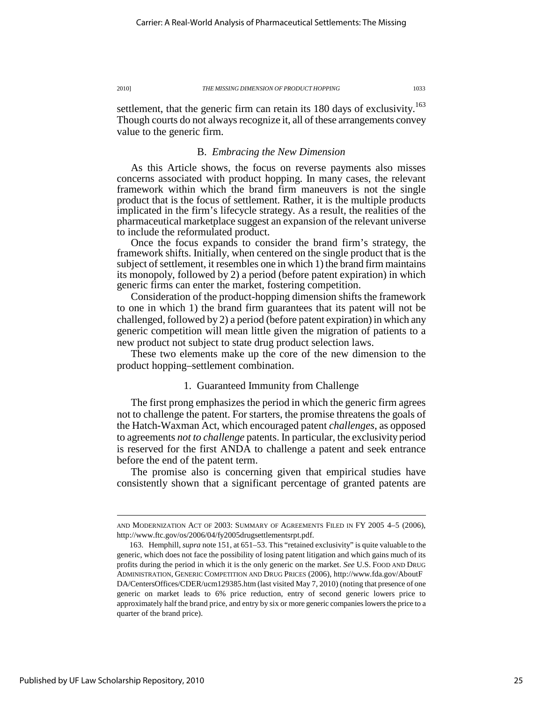settlement, that the generic firm can retain its 180 days of exclusivity.<sup>163</sup> Though courts do not always recognize it, all of these arrangements convey value to the generic firm.

### B. *Embracing the New Dimension*

As this Article shows, the focus on reverse payments also misses concerns associated with product hopping. In many cases, the relevant framework within which the brand firm maneuvers is not the single product that is the focus of settlement. Rather, it is the multiple products implicated in the firm's lifecycle strategy. As a result, the realities of the pharmaceutical marketplace suggest an expansion of the relevant universe to include the reformulated product.

Once the focus expands to consider the brand firm's strategy, the framework shifts. Initially, when centered on the single product that is the subject of settlement, it resembles one in which 1) the brand firm maintains its monopoly, followed by 2) a period (before patent expiration) in which generic firms can enter the market, fostering competition.

Consideration of the product-hopping dimension shifts the framework to one in which 1) the brand firm guarantees that its patent will not be challenged, followed by 2) a period (before patent expiration) in which any generic competition will mean little given the migration of patients to a new product not subject to state drug product selection laws.

These two elements make up the core of the new dimension to the product hopping–settlement combination.

### 1. Guaranteed Immunity from Challenge

The first prong emphasizes the period in which the generic firm agrees not to challenge the patent. For starters, the promise threatens the goals of the Hatch-Waxman Act, which encouraged patent *challenges*, as opposed to agreements *not to challenge* patents. In particular, the exclusivity period is reserved for the first ANDA to challenge a patent and seek entrance before the end of the patent term.

The promise also is concerning given that empirical studies have consistently shown that a significant percentage of granted patents are

AND MODERNIZATION ACT OF 2003: SUMMARY OF AGREEMENTS FILED IN FY 2005 4–5 (2006), http://www.ftc.gov/os/2006/04/fy2005drugsettlementsrpt.pdf.

 <sup>163.</sup> Hemphill, *supra* note 151, at 651–53. This "retained exclusivity" is quite valuable to the generic, which does not face the possibility of losing patent litigation and which gains much of its profits during the period in which it is the only generic on the market. *See* U.S. FOOD AND DRUG ADMINISTRATION, GENERIC COMPETITION AND DRUG PRICES (2006), http://www.fda.gov/AboutF DA/CentersOffices/CDER/ucm129385.htm (last visited May 7, 2010) (noting that presence of one generic on market leads to 6% price reduction, entry of second generic lowers price to approximately half the brand price, and entry by six or more generic companies lowers the price to a quarter of the brand price).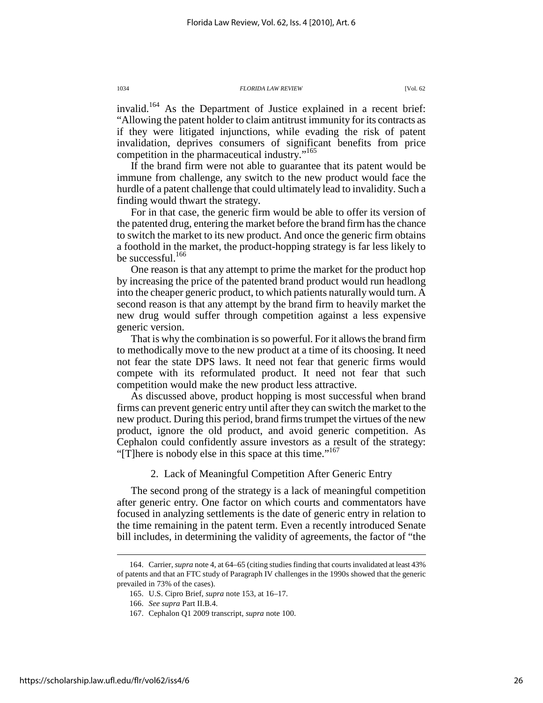invalid.<sup>164</sup> As the Department of Justice explained in a recent brief: "Allowing the patent holder to claim antitrust immunity for its contracts as if they were litigated injunctions, while evading the risk of patent invalidation, deprives consumers of significant benefits from price competition in the pharmaceutical industry."<sup>165</sup>

If the brand firm were not able to guarantee that its patent would be immune from challenge, any switch to the new product would face the hurdle of a patent challenge that could ultimately lead to invalidity. Such a finding would thwart the strategy.

For in that case, the generic firm would be able to offer its version of the patented drug, entering the market before the brand firm has the chance to switch the market to its new product. And once the generic firm obtains a foothold in the market, the product-hopping strategy is far less likely to be successful.<sup>166</sup>

One reason is that any attempt to prime the market for the product hop by increasing the price of the patented brand product would run headlong into the cheaper generic product, to which patients naturally would turn. A second reason is that any attempt by the brand firm to heavily market the new drug would suffer through competition against a less expensive generic version.

That is why the combination is so powerful. For it allows the brand firm to methodically move to the new product at a time of its choosing. It need not fear the state DPS laws. It need not fear that generic firms would compete with its reformulated product. It need not fear that such competition would make the new product less attractive.

As discussed above, product hopping is most successful when brand firms can prevent generic entry until after they can switch the market to the new product. During this period, brand firms trumpet the virtues of the new product, ignore the old product, and avoid generic competition. As Cephalon could confidently assure investors as a result of the strategy: "[T]here is nobody else in this space at this time."<sup>167</sup>

2. Lack of Meaningful Competition After Generic Entry

The second prong of the strategy is a lack of meaningful competition after generic entry. One factor on which courts and commentators have focused in analyzing settlements is the date of generic entry in relation to the time remaining in the patent term. Even a recently introduced Senate bill includes, in determining the validity of agreements, the factor of "the

 <sup>164.</sup> Carrier, *supra* note 4, at 64–65 (citing studies finding that courts invalidated at least 43% of patents and that an FTC study of Paragraph IV challenges in the 1990s showed that the generic prevailed in 73% of the cases).

 <sup>165.</sup> U.S. Cipro Brief, *supra* note 153, at 16–17.

 <sup>166.</sup> *See supra* Part II.B.4.

 <sup>167.</sup> Cephalon Q1 2009 transcript, *supra* note 100.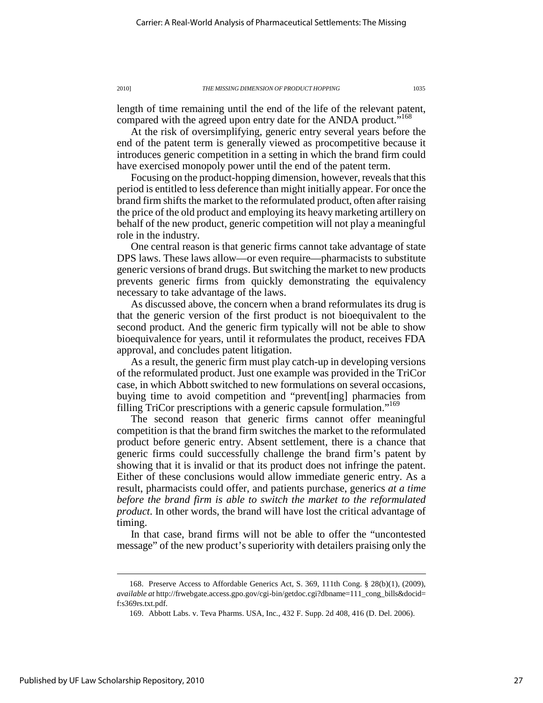length of time remaining until the end of the life of the relevant patent, compared with the agreed upon entry date for the ANDA product."<sup>168</sup>

At the risk of oversimplifying, generic entry several years before the end of the patent term is generally viewed as procompetitive because it introduces generic competition in a setting in which the brand firm could have exercised monopoly power until the end of the patent term.

Focusing on the product-hopping dimension, however, reveals that this period is entitled to less deference than might initially appear. For once the brand firm shifts the market to the reformulated product, often after raising the price of the old product and employing its heavy marketing artillery on behalf of the new product, generic competition will not play a meaningful role in the industry.

One central reason is that generic firms cannot take advantage of state DPS laws. These laws allow—or even require—pharmacists to substitute generic versions of brand drugs. But switching the market to new products prevents generic firms from quickly demonstrating the equivalency necessary to take advantage of the laws.

As discussed above, the concern when a brand reformulates its drug is that the generic version of the first product is not bioequivalent to the second product. And the generic firm typically will not be able to show bioequivalence for years, until it reformulates the product, receives FDA approval, and concludes patent litigation.

As a result, the generic firm must play catch-up in developing versions of the reformulated product. Just one example was provided in the TriCor case, in which Abbott switched to new formulations on several occasions, buying time to avoid competition and "prevent[ing] pharmacies from filling TriCor prescriptions with a generic capsule formulation."<sup>169</sup>

The second reason that generic firms cannot offer meaningful competition is that the brand firm switches the market to the reformulated product before generic entry. Absent settlement, there is a chance that generic firms could successfully challenge the brand firm's patent by showing that it is invalid or that its product does not infringe the patent. Either of these conclusions would allow immediate generic entry. As a result, pharmacists could offer, and patients purchase, generics *at a time before the brand firm is able to switch the market to the reformulated product*. In other words, the brand will have lost the critical advantage of timing.

In that case, brand firms will not be able to offer the "uncontested message" of the new product's superiority with detailers praising only the

 <sup>168.</sup> Preserve Access to Affordable Generics Act, S. 369, 111th Cong. § 28(b)(1), (2009), *available at* http://frwebgate.access.gpo.gov/cgi-bin/getdoc.cgi?dbname=111\_cong\_bills&docid= f:s369rs.txt.pdf.

 <sup>169.</sup> Abbott Labs. v. Teva Pharms. USA, Inc., 432 F. Supp. 2d 408, 416 (D. Del. 2006).